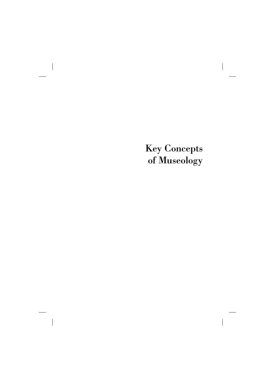### Key Concepts of Museology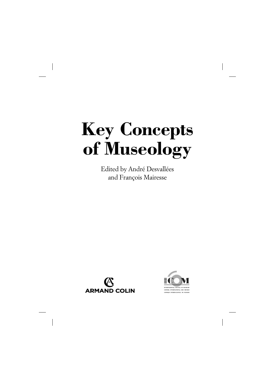### **Key Concepts of Museology**

Edited by André Desvallées and François Mairesse





TERNATIONAL COUNCIL O CONSEIL INTERNATIONAL DES MUSEES CONSEIO INTERNACIONAL DE MUSEOS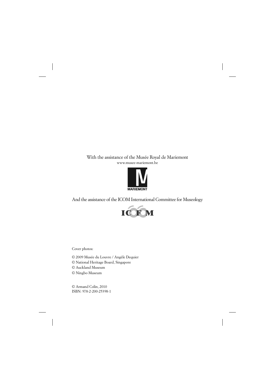#### With the assistance of the Musée Royal de Mariemont www.musee-mariemont.be



And the assistance of the ICOM International Committee for Museology



Cover photos:

© 2009 Musée du Louvre / Angèle Dequier

© National Heritage Board, Singapore

© Auckland Museum

© Ningbo Museum

© Armand Colin, 2010 ISBN: 978-2-200-25398-1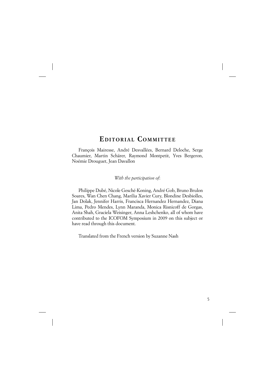#### **EDITORIAL C OMMITTEE**

François Mairesse, André Desvallées, Bernard Deloche, Serge Chaumier, Martin Schärer, Raymond Montpetit, Yves Bergeron, Noémie Drouguet, Jean Davallon

*With the participation of*:

Philippe Dubé, Nicole Gesché-Koning, André Gob, Bruno Brulon Soares, Wan Chen Chang, Marilia Xavier Cury, Blondine Desbiolles, Jan Dolak, Jennifer Harris, Francisca Hernandez Hernandez, Diana Lima, Pedro Mendes, Lynn Maranda, Monica Risnicoff de Gorgas, Anita Shah, Graciela Weisinger, Anna Leshchenko, all of whom have contributed to the ICOFOM Symposium in 2009 on this subject or have read through this document.

Translated from the French version by Suzanne Nash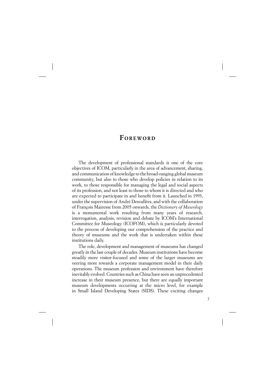#### **F OREWORD**

The development of professional standards is one of the core objectives of ICOM, particularly in the area of advancement, sharing, and communication of knowledge to the broad-ranging global museum community, but also to those who develop policies in relation to its work, to those responsible for managing the legal and social aspects of its profession, and not least to those to whom it is directed and who are expected to participate in and benefit from it. Launched in 1993, under the supervision of André Desvallées, and with the collaboration of François Mairesse from 2005 onwards, the *Dictionary of Museology* is a monumental work resulting from many years of research, interrogation, analysis, revision and debate by ICOM's International Committee for Museology (ICOFOM), which is particularly devoted to the process of developing our comprehension of the practice and theory of museums and the work that is undertaken within these institutions daily.

The role, development and management of museums has changed greatly in the last couple of decades. Museum institutions have become steadily more visitor-focused and some of the larger museums are veering more towards a corporate management model in their daily operations. The museum profession and environment have therefore inevitably evolved. Countries such as China have seen an unprecedented increase in their museum presence, but there are equally important museum developments occurring at the micro level, for example in Small Island Developing States (SIDS). These exciting changes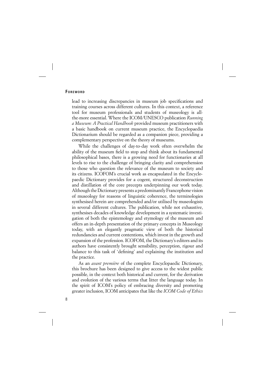#### **FOREWORD**

lead to increasing discrepancies in museum job specifications and training courses across different cultures. In this context, a reference tool for museum professionals and students of museology is allthe-more essential. Where the ICOM/UNESCO publication *Running a Museum: A Practical Handbook* provided museum practitioners with a basic handbook on current museum practice, the Encyclopaedia Dictionarium should be regarded as a companion piece, providing a complementary perspective on the theory of museums.

While the challenges of day-to-day work often overwhelm the ability of the museum field to stop and think about its fundamental philosophical bases, there is a growing need for functionaries at all levels to rise to the challenge of bringing clarity and comprehension to those who question the relevance of the museum to society and its citizens. ICOFOM's crucial work as encapsulated in the Encyclopaedic Dictionary provides for a cogent, structured deconstruction and distillation of the core precepts underpinning our work today. Although the Dictionary presents a predominantly Francophone vision of museology for reasons of linguistic coherence, the terminologies synthesised herein are comprehended and/or utilised by museologists in several different cultures. The publication, while not exhaustive, synthesises decades of knowledge development in a systematic investigation of both the epistemology and etymology of the museum and offers an in-depth presentation of the primary concepts in Museology today, with an elegantly pragmatic view of both the historical redundancies and current contentions, which invest in the growth and expansion of the profession. ICOFOM, the Dictionary's editors and its authors have consistently brought sensibility, perception, rigour and balance to this task of 'defining' and explaining the institution and the practice.

As an *avant première* of the complete Encyclopaedic Dictionary, this brochure has been designed to give access to the widest public possible, in the context both historical and current, for the derivation and evolution of the various terms that litter the language today. In the spirit of ICOM's policy of embracing diversity and promoting greater inclusion, ICOM anticipates that like the *ICOM Code of Ethics*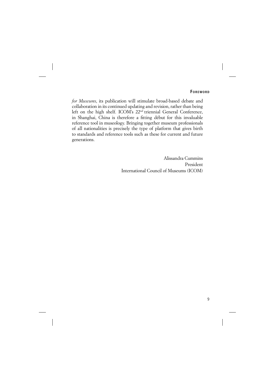*for Museums*, its publication will stimulate broad-based debate and collaboration in its continued updating and revision, rather than being left on the high shelf. ICOM's 22nd triennial General Conference, in Shanghai, China is therefore a fitting début for this invaluable reference tool in museology. Bringing together museum professionals of all nationalities is precisely the type of platform that gives birth to standards and reference tools such as these for current and future generations.

> Alissandra Cummins President International Council of Museums (ICOM)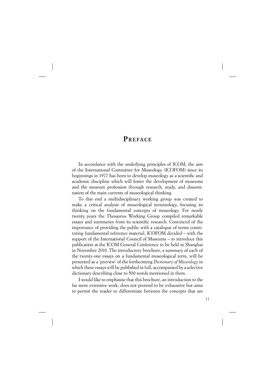#### **P REFACE**

In accordance with the underlying principles of ICOM, the aim of the International Committee for Museology (ICOFOM) since its beginnings in 1977 has been to develop museology as a scientific and academic discipline which will foster the development of museums and the museum profession through research, study, and dissemination of the main currents of museological thinking.

To this end a multidisciplinary working group was created to make a critical analysis of museological terminology, focusing its thinking on the fundamental concepts of museology. For nearly twenty years the Thesaurus Working Group compiled remarkable essays and summaries from its scientific research. Convinced of the importance of providing the public with a catalogue of terms constituting fundamental reference material, ICOFOM decided – with the support of the International Council of Museums – to introduce this publication at the ICOM General Conference to be held in Shanghai in November 2010. The introductory brochure, a summary of each of the twenty-one essays on a fundamental museological term, will be presented as a 'preview' of the forthcoming *Dictionary of Museology* in which these essays will be published in full, accompanied by a selective dictionary describing close to 500 words mentioned in them.

I would like to emphasise that this brochure, an introduction to the far more extensive work, does not pretend to be exhaustive but aims to permit the reader to differentiate between the concepts that are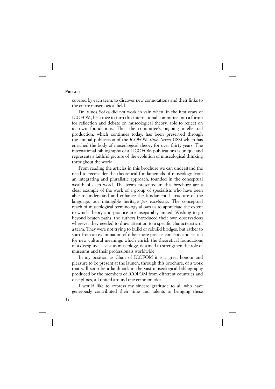#### **PREFACE**

covered by each term, to discover new connotations and their links to the entire museological field.

Dr. Vinos Sofka did not work in vain when, in the first years of ICOFOM, he strove to turn this international committee into a forum for reflection and debate on museological theory, able to reflect on its own foundations. Thus the committee's ongoing intellectual production, which continues today, has been preserved through the annual publication of the *ICOFOM Study Series* (ISS) which has enriched the body of museological theory for over thirty years. The international bibliography of all ICOFOM publications is unique and represents a faithful picture of the evolution of museological thinking throughout the world.

From reading the articles in this brochure we can understand the need to reconsider the theoretical fundamentals of museology from an integrating and pluralistic approach, founded in the conceptual wealth of each word. The terms presented in this brochure are a clear example of the work of a group of specialists who have been able to understand and enhance the fundamental structure of the language, our intangible heritage *par excellence*. The conceptual reach of museological terminology allows us to appreciate the extent to which theory and practice are inseparably linked. Wishing to go beyond beaten paths, the authors introduced their own observations wherever they needed to draw attention to a specific characteristic of a term. They were not trying to build or rebuild bridges, but rather to start from an examination of other more precise concepts and search for new cultural meanings which enrich the theoretical foundations of a discipline as vast as museology, destined to strengthen the role of museums and their professionals worldwide.

In my position as Chair of ICOFOM it is a great honour and pleasure to be present at the launch, through this brochure, of a work that will soon be a landmark in the vast museological bibliography produced by the members of ICOFOM from different countries and disciplines, all united around one common ideal.

I would like to express my sincere gratitude to all who have generously contributed their time and talents to bringing these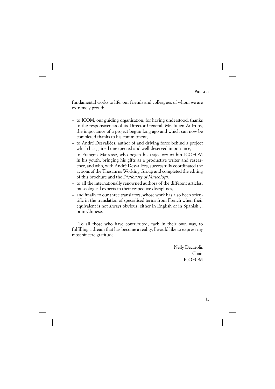fundamental works to life: our friends and colleagues of whom we are extremely proud:

- to ICOM, our guiding organisation, for having understood, thanks to the responsiveness of its Director General, Mr. Julien Anfruns, the importance of a project begun long ago and which can now be completed thanks to his commitment,
- to André Desvallées, author of and driving force behind a project which has gained unexpected and well-deserved importance,
- to François Mairesse, who began his trajectory within ICOFOM in his youth, bringing his gifts as a productive writer and researcher, and who, with André Desvallées, successfully coordinated the actions of the Thesaurus Working Group and completed the editing of this brochure and the *Dictionary of Museology*.
- to all the internationally renowned authors of the different articles, museological experts in their respective disciplines,
- and finally to our three translators, whose work has also been scientific in the translation of specialised terms from French when their equivalent is not always obvious, either in English or in Spanish… or in Chinese.

To all those who have contributed, each in their own way, to fulfilling a dream that has become a reality, I would like to express my most sincere gratitude.

> Nelly Decarolis Chair ICOFOM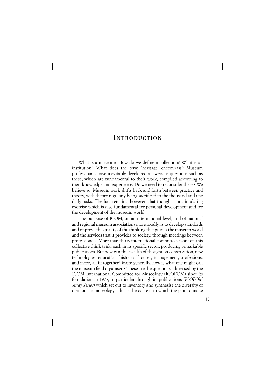#### **INTRODUCTION**

What is a museum? How do we define a collection? What is an institution? What does the term 'heritage' encompass? Museum professionals have inevitably developed answers to questions such as these, which are fundamental to their work, compiled according to their knowledge and experience. Do we need to reconsider these? We believe so. Museum work shifts back and forth between practice and theory, with theory regularly being sacrificed to the thousand and one daily tasks. The fact remains, however, that thought is a stimulating exercise which is also fundamental for personal development and for the development of the museum world.

The purpose of ICOM, on an international level, and of national and regional museum associations more locally, is to develop standards and improve the quality of the thinking that guides the museum world and the services that it provides to society, through meetings between professionals. More than thirty international committees work on this collective think tank, each in its specific sector, producing remarkable publications. But how can this wealth of thought on conservation, new technologies, education, historical houses, management, professions, and more, all fit together? More generally, how is what one might call the museum field organised? These are the questions addressed by the ICOM International Committee for Museology (ICOFOM) since its foundation in 1977, in particular through its publications (*ICOFOM Study Series*) which set out to inventory and synthesise the diversity of opinions in museology. This is the context in which the plan to make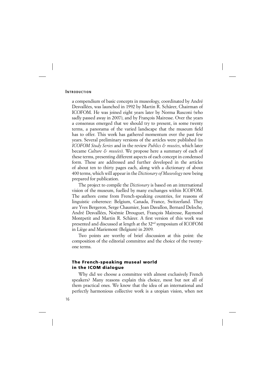#### **INTRODUCTION**

a compendium of basic concepts in museology, coordinated by André Desvallées, was launched in 1992 by Martin R. Schärer, Chairman of ICOFOM. He was joined eight years later by Norma Rusconi (who sadly passed away in 2007), and by François Mairesse. Over the years a consensus emerged that we should try to present, in some twenty terms, a panorama of the varied landscape that the museum field has to offer. This work has gathered momentum over the past few years. Several preliminary versions of the articles were published (in *ICOFOM Study Series* and in the review *Publics & musées*, which later became *Culture & musées*). We propose here a summary of each of these terms, presenting different aspects of each concept in condensed form. These are addressed and further developed in the articles of about ten to thirty pages each, along with a dictionary of about 400 terms, which will appear in the *Dictionary of Museology* now being prepared for publication.

The project to compile the *Dictionary* is based on an international vision of the museum, fuelled by many exchanges within ICOFOM. The authors come from French-speaking countries, for reasons of linguistic coherence: Belgium, Canada, France, Switzerland. They are Yves Bergeron, Serge Chaumier, Jean Davallon, Bernard Deloche, André Desvallées, Noémie Drouguet, François Mairesse, Raymond Montpetit and Martin R. Schärer. A first version of this work was presented and discussed at length at the 32nd symposium of ICOFOM in Liège and Mariemont (Belgium) in 2009.

Two points are worthy of brief discussion at this point: the composition of the editorial committee and the choice of the twentyone terms.

#### **The French-speaking museal world in the ICOM dialogue**

Why did we choose a committee with almost exclusively French speakers? Many reasons explain this choice, most but not all of them practical ones. We know that the idea of an international and perfectly harmonious collective work is a utopian vision, when not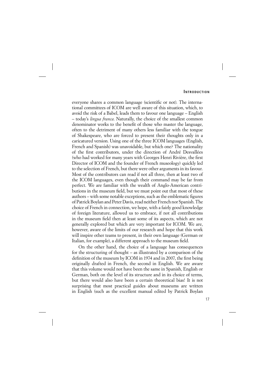everyone shares a common language (scientific or not). The international committees of ICOM are well aware of this situation, which, to avoid the risk of a Babel, leads them to favour one language – English – today's *lingua franca*. Naturally, the choice of the smallest common denominator works to the benefit of those who master the language, often to the detriment of many others less familiar with the tongue of Shakespeare, who are forced to present their thoughts only in a caricatured version. Using one of the three ICOM languages (English, French and Spanish) was unavoidable, but which one? The nationality of the first contributors, under the direction of André Desvallées (who had worked for many years with Georges Henri Rivière, the first Director of ICOM and the founder of French museology) quickly led to the selection of French, but there were other arguments in its favour. Most of the contributors can read if not all three, then at least two of the ICOM languages, even though their command may be far from perfect. We are familiar with the wealth of Anglo-American contributions in the museum field, but we must point out that most of these authors – with some notable exceptions, such as the emblematic figures of Patrick Boylan and Peter Davis, read neither French nor Spanish. The choice of French in connection, we hope, with a fairly good knowledge of foreign literature, allowed us to embrace, if not all contributions in the museum field then at least some of its aspects, which are not generally explored but which are very important for ICOM. We are, however, aware of the limits of our research and hope that this work will inspire other teams to present, in their own language (German or Italian, for example), a different approach to the museum field.

On the other hand, the choice of a language has consequences for the structuring of thought – as illustrated by a comparison of the definition of the museum by ICOM in 1974 and in 2007, the first being originally drafted in French, the second in English. We are aware that this volume would not have been the same in Spanish, English or German, both on the level of its structure and in its choice of terms, but there would also have been a certain theoretical bias! It is not surprising that most practical guides about museums are written in English (such as the excellent manual edited by Patrick Boylan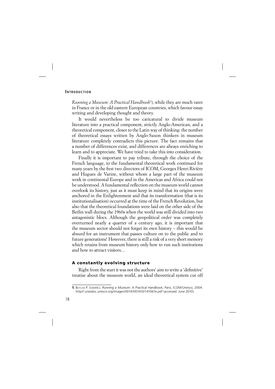#### **INTRODUCTION**

*Running a Museum: A Practical Handbook*<sup>1</sup> ), while they are much rarer in France or in the old eastern European countries, which favour essay writing and developing thought and theory.

It would nevertheless be too caricatural to divide museum literature into a practical component, strictly Anglo-American, and a theoretical component, closer to the Latin way of thinking: the number of theoretical essays written by Anglo-Saxon thinkers in museum literature completely contradicts this picture. The fact remains that a number of differences exist, and differences are always enriching to learn and to appreciate. We have tried to take this into consideration.

Finally it is important to pay tribute, through the choice of the French language, to the fundamental theoretical work continued for many years by the first two directors of ICOM, Georges Henri Rivière and Hugues de Varine, without whom a large part of the museum work in continental Europe and in the Americas and Africa could not be understood. A fundamental reflection on the museum world cannot overlook its history, just as it must keep in mind that its origins were anchored in the Enlightenment and that its transformation (that is its institutionalisation) occurred at the time of the French Revolution, but also that the theoretical foundations were laid on the other side of the Berlin wall during the 1960s when the world was still divided into two antagonistic blocs. Although the geopolitical order was completely overturned nearly a quarter of a century ago, it is important that the museum sector should not forget its own history – this would be absurd for an instrument that passes culture on to the public and to future generations! However, there is still a risk of a very short memory which retains from museum history only how to run such institutions and how to attract visitors…

#### **A constantly evolving structure**

Right from the start it was not the authors' aim to write a 'definitive' treatise about the museum world, an ideal theoretical system cut off

**<sup>1</sup>.** BOYLAN P. (coord.), *Running a Museum: A Practical Handbook*, Paris, ICOM/Unesco, 2004. http//:unesdoc.unesco.org/images/0014/001410/141067e.pdf (accessed: June 2010).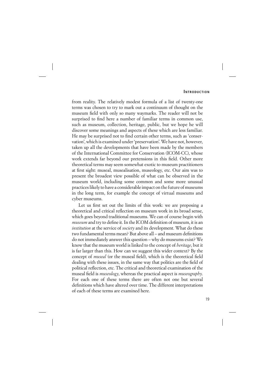from reality. The relatively modest formula of a list of twenty-one terms was chosen to try to mark out a continuum of thought on the museum field with only so many waymarks. The reader will not be surprised to find here a number of familiar terms in common use, such as museum, collection, heritage, public, but we hope he will discover some meanings and aspects of these which are less familiar. He may be surprised not to find certain other terms, such as 'conservation', which is examined under 'preservation'. We have not, however, taken up all the developments that have been made by the members of the International Committee for Conservation (ICOM-CC), whose work extends far beyond our pretensions in this field. Other more theoretical terms may seem somewhat exotic to museum practitioners at first sight: museal, musealisation, museology, etc. Our aim was to present the broadest view possible of what can be observed in the museum world, including some common and some more unusual practices likely to have a considerable impact on the future of museums in the long term, for example the concept of virtual museums and cyber museums.

Let us first set out the limits of this work: we are proposing a theoretical and critical reflection on museum work in its broad sense, which goes beyond traditional museums. We can of course begin with *museum* and try to define it. In the ICOM definition of museum, it is an *institution* at the service of *society* and its development. What do these two fundamental terms mean? But above all – and museum definitions do not immediately answer this question – why do museums exist? We know that the museum world is linked to the concept of *heritage*, but it is far larger than this. How can we suggest this wider context? By the concept of *museal* (or the museal field), which is the theoretical field dealing with these issues, in the same way that politics are the field of political reflection, etc. The critical and theoretical examination of the museal field is *museology*, whereas the practical aspect is *museography*. For each one of these terms there are often not one but several definitions which have altered over time. The different interpretations of each of these terms are examined here.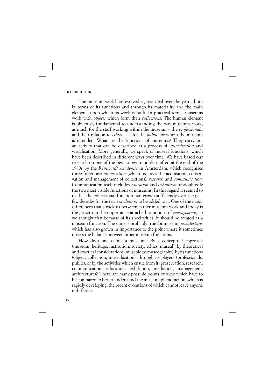The museum world has evolved a great deal over the years, both in terms of its functions and through its materiality and the main elements upon which its work is built. In practical terms, museums work with *objects* which form their *collections*. The human element is obviously fundamental to understanding the way museums work, as much for the staff working within the museum – the *professionals*, and their relation to *ethics* – as for the *public* for whom the museum is intended. What are the functions of museums? They carry out an activity that can be described as a process of *musealisation* and visualisation. More generally, we speak of museal functions, which have been described in different ways over time. We have based our research on one of the best known models, crafted at the end of the 1980s by the *Reinwardt Academie* in Amsterdam, which recognises three functions: *preservation* (which includes the acquisition, conservation and management of collections), *research* and *communication*. Communication itself includes *education* and *exhibition*, undoubtedly the two most visible functions of museums. In this regard it seemed to us that the educational function had grown sufficiently over the past few decades for the term *mediation* to be added to it. One of the major differences that struck us between earlier museum work and today is the growth in the importance attached to notions of *management*, so we thought that because of its specificities, it should be treated as a museum function. The same is probably true for museum *architecture*, which has also grown in importance to the point where it sometimes upsets the balance between other museum functions.

How does one define a museum? By a conceptual approach (museum, heritage, institution, society, ethics, museal), by theoretical and practical considerations (museology, museography), by its functions (object, collection, musealisation), through its players (professionals, public), or by the activities which ensue from it (preservation, research, communication, education, exhibition, mediation, management, architecture)? There are many possible points of view which have to be compared to better understand the museum phenomenon, which is rapidly developing, the recent evolutions of which cannot leave anyone indifferent.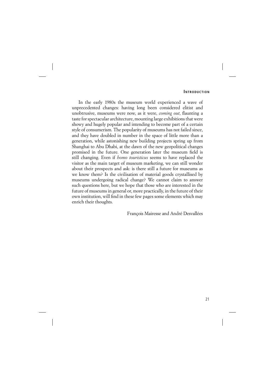In the early 1980s the museum world experienced a wave of unprecedented changes: having long been considered elitist and unobtrusive, museums were now, as it were, *coming out*, flaunting a taste for spectacular architecture, mounting large exhibitions that were showy and hugely popular and intending to become part of a certain style of consumerism. The popularity of museums has not failed since, and they have doubled in number in the space of little more than a generation, while astonishing new building projects spring up from Shanghai to Abu Dhabi, at the dawn of the new geopolitical changes promised in the future. One generation later the museum field is still changing. Even if *homo touristicus* seems to have replaced the visitor as the main target of museum marketing, we can still wonder about their prospects and ask: is there still a future for museums as we know them? Is the civilisation of material goods crystallised by museums undergoing radical change? We cannot claim to answer such questions here, but we hope that those who are interested in the future of museums in general or, more practically, in the future of their own institution, will find in these few pages some elements which may enrich their thoughts.

François Mairesse and André Desvallées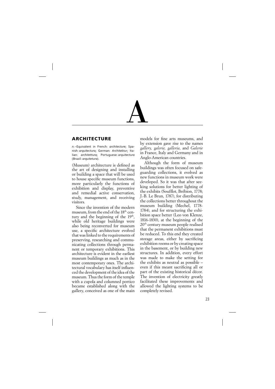

#### **ARCHITECTURE**

*n.*–Equivalent in French: *architecture*; Spanish: *arquitectura*; German: *Architektur*; Italian: *architettura*; Portuguese: *arquitectura* (Brazil: *arquitetura*).

(Museum) architecture is defined as the art of designing and installing or building a space that will be used to house specific museum functions, more particularly the functions of exhibition and display, preventive and remedial active conservation, study, management, and receiving visitors.

Since the invention of the modern museum, from the end of the 18th century and the beginning of the  $19<sup>th</sup>$ , while old heritage buildings were also being reconverted for museum use, a specific architecture evolved that was linked to the requirements of preserving, researching and communicating collections through permanent or temporary exhibitions. This architecture is evident in the earliest museum buildings as much as in the most contemporary ones. The architectural vocabulary has itself influenced the development of the idea of the museum. Thus the form of the temple with a cupola and columned portico became established along with the gallery, conceived as one of the main models for fine arts museums, and by extension gave rise to the names *gallery, galerie, galleria*, and *Galerie* in France, Italy and Germany and in Anglo-American countries.

Although the form of museum buildings was often focused on safeguarding collections, it evolved as new functions in museum work were developed. So it was that after seeking solutions for better lighting of the exhibits (Soufflot, Brébion, 1778; J.-B. Le Brun, 1787), for distributing the collections better throughout the museum building (Mechel, 1778- 1784), and for structuring the exhibition space better (Leo von Klenze, 1816-1830), at the beginning of the 20th century museum people realised that the permanent exhibitions must be reduced. To this end they created storage areas, either by sacrificing exhibition rooms or by creating space in the basement, or by building new structures. In addition, every effort was made to make the setting for the exhibits as neutral as possible – even if this meant sacrificing all or part of the existing historical décor. The invention of electricity greatly facilitated these improvements and allowed the lighting systems to be completely revised.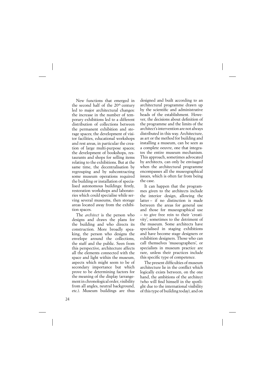New functions that emerged in the second half of the 20<sup>th</sup> century led to major architectural changes: the increase in the number of temporary exhibitions led to a different distribution of collections between the permanent exhibition and storage spaces; the development of visitor facilities, educational workshops and rest areas, in particular the creation of large multi-purpose spaces; the development of bookshops, restaurants and shops for selling items relating to the exhibitions. But at the same time, the decentralisation by regrouping and by subcontracting some museum operations required the building or installation of specialised autonomous buildings: firstly, restoration workshops and laboratories which could specialise while serving several museums, then storage areas located away from the exhibition spaces.

The *architect* is the person who designs and draws the plans for the building and who directs its construction. More broadly speaking, the person who designs the envelope around the collections, the staff and the public. Seen from this perspective, architecture affects all the elements connected with the space and light within the museum, aspects which might seem to be of secondary importance but which prove to be determining factors for the meaning of the display (arrangement in chronological order, visibility from all angles, neutral background, etc.). Museum buildings are thus designed and built according to an architectural programme drawn up by the scientific and administrative heads of the establishment. However, the decisions about definition of the programme and the limits of the architect's intervention are not always distributed in this way. Architecture, as art or the method for building and installing a museum, can be seen as a complete oeuvre, one that integrates the entire museum mechanism. This approach, sometimes advocated by architects, can only be envisaged when the architectural programme encompasses all the museographical issues, which is often far from being the case.

It can happen that the programmes given to the architects include the interior design, allowing the latter – if no distinction is made between the areas for general use and those for museographical use – to give free rein to their 'creativity', sometimes to the detriment of the museum. Some architects have specialised in staging exhibitions and have become stage designers or exhibition designers. Those who can call themselves 'museographers', or specialists in museum practice are rare, unless their practices include this specific type of competence.

The present difficulties of museum architecture lie in the conflict which logically exists between, on the one hand, the ambitions of the architect (who will find himself in the spotlight due to the international visibility of this type of building today), and on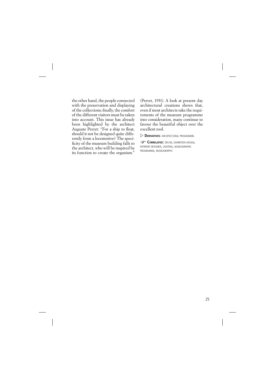the other hand, the people connected with the preservation and displaying of the collections; finally, the comfort of the different visitors must be taken into account. This issue has already been highlighted by the architect Auguste Perret: "For a ship to float, should it not be designed quite differently from a locomotive? The specificity of the museum building falls to the architect, who will be inspired by its function to create the organism."

(Perret, 1931). A look at present day architectural creations shows that, even if most architects take the requirements of the museum programme into consideration, many continue to favour the beautiful object over the excellent tool.

 $\triangleright$  **DERIVATIVES**' ARCHITECTURAL PROGRAMME.

**CORRELATED:** DÉCOR, EXHIBITION DESIGN, INTERIOR DESIGNER, LIGHTING, MUSEOGRAPHIC PROGRAMME, MUSEOGRAPHY.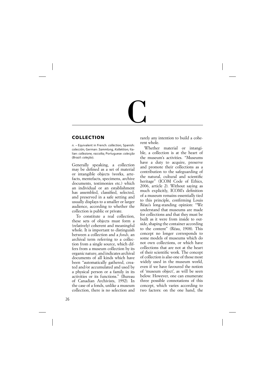# C

#### **COLLECTION**

*n.* – Equivalent in French: *collection*; Spanish: *colección*; German: *Sammlung, Kollektion*; Italian: *collezione, raccolta*; Portuguese: *colecçāo* (Brazil: *coleçāo*).

Generally speaking, a collection may be defined as a set of material or intangible objects (works, artefacts, mentefacts, specimens, archive documents, testimonies etc.) which an individual or an establishment has assembled, classified, selected, and preserved in a safe setting and usually displays to a smaller or larger audience, according to whether the collection is public or private.

To constitute a real collection, these sets of objects must form a (relatively) coherent and meaningful whole. It is important to distinguish between a collection and a *fonds*, an archival term referring to a collection from a single source, which differs from a museum collection by its organic nature, and indicates archival documents of all kinds which have been "automatically gathered, created and/or accumulated and used by a physical person or a family in its activities or its functions." (Bureau of Canadian Archivists, 1992). In the case of a fonds, unlike a museum collection, there is no selection and rarely any intention to build a coherent whole.

Whether material or intangible, a collection is at the heart of the museum's activities. "Museums have a duty to acquire, preserve and promote their collections as a contribution to the safeguarding of the natural, cultural and scientific heritage" (ICOM Code of Ethics, 2006, article 2). Without saying as much explicitly, ICOM's definition of a museum remains essentially tied to this principle, confirming Louis Réau's long-standing opinion: "We understand that museums are made for collections and that they must be built as it were from inside to outside, shaping the container according to the content" (Réau, 1908). This concept no longer corresponds to some models of museums which do not own collections, or which have collections that are not at the heart of their scientific work. The concept of collection is also one of those most widely used in the museum world, even if we have favoured the notion of 'museum object', as will be seen below. However, one can enumerate three possible connotations of this concept, which varies according to two factors: on the one hand, the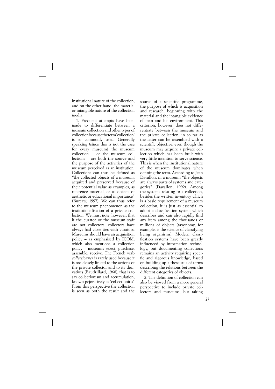institutional nature of the collection, and on the other hand, the material or intangible nature of the collection media.

1. Frequent attempts have been made to differentiate between a museum collection and other types of collection because the term 'collection' is so commonly used. Generally speaking (since this is not the case for every museum) the museum collection – or the museum collections – are both the source and the purpose of the activities of the museum perceived as an institution. Collections can thus be defined as "the collected objects of a museum, acquired and preserved because of their potential value as examples, as reference material, or as objects of aesthetic or educational importance" (Burcaw, 1997). We can thus refer to the museum phenomenon as the institutionalisation of a private collection. We must note, however, that if the curator or the museum staff are not collectors, collectors have always had close ties with curators. Museums should have an acquisition policy – as emphasised by ICOM, which also mentions a collection policy – museums select, purchase, assemble, receive. The French verb *collectionner* is rarely used because it is too closely linked to the actions of the private collector and to its derivatives (Baudrillard, 1968), that is to say collectionism and accumulation, known pejoratively as 'collectionitis'. From this perspective the collection is seen as both the result and the

source of a scientific programme, the purpose of which is acquisition and research, beginning with the material and the intangible evidence of man and his environment. This criterion, however, does not differentiate between the museum and the private collection, in so far as the latter can be assembled with a scientific objective, even though the museum may acquire a private collection which has been built with very little intention to serve science. This is when the institutional nature of the museum dominates when defining the term. According to Jean Davallon, in a museum "the objects are always parts of systems and categories" (Davallon, 1992). Among the systems relating to a collection, besides the written inventory which is a basic requirement of a museum collection, it is just as essential to adopt a classification system which describes and can also rapidly find any item among the thousands or millions of objects (taxonomy, for example, is the science of classifying living organisms). Modern classification systems have been greatly influenced by information technology, but documenting collections remains an activity requiring specific and rigorous knowledge, based on building up a thesaurus of terms describing the relations between the different categories of objects.

2. The definition of collection can also be viewed from a more general perspective to include private collectors and museums, but taking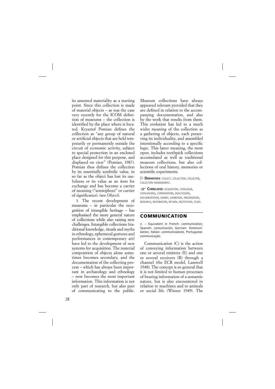its assumed materiality as a starting point. Since this collection is made of material objects – as was the case very recently for the ICOM definition of museums – the collection is identified by the place where is located. Krysztof Pomian defines the collection as "any group of natural or artificial objects that are held temporarily or permanently outside the circuit of economic activity, subject to special protection in an enclosed place designed for this purpose, and displayed on view" (Pomian, 1987). Pomian thus defines the collection by its essentially symbolic value, in so far as the object has lost its usefulness or its value as an item for exchange and has become a carrier of meaning ("semiophore" or carrier of significance). (see *Object*).

3. The recent development of museums – in particular the recognition of intangible heritage – has emphasised the more general nature of collections while also raising new challenges. Intangible collections (traditional knowledge, rituals and myths in ethnology, ephemeral gestures and performances in contemporary art) have led to the development of new systems for acquisition. The material composition of objects alone sometimes becomes secondary, and the documentation of the collecting process – which has always been important in archaeology and ethnology – now becomes the most important information. This information is not only part of research, but also part of communicating to the public.

Museum collections have always appeared relevant provided that they are defined in relation to the accompanying documentation, and also by the work that results from them. This evolution has led to a much wider meaning of the collection as a gathering of objects, each preserving its individuality, and assembled intentionally according to a specific logic. This latter meaning, the most open, includes toothpick collections accumulated as well as traditional museum collections, but also collections of oral history, memories or scientific experiments.

 $\triangleright$  **DERIVATIVES:** COLLECT, COLLECTION, COLLECTOR, COLLECTION MANAGEMENT.

**CORRELATED: ACQUISITION, CATALOGUE,** CATALOGUING, CONSERVATION, DEACCESSION, DOCUMENTATION, EXHIBIT, EXHIBITION, PRESERVATION, RESEARCH, RESTORATION, RETURN, RESTITUTION, STUDY.

#### **COMMUNICATION**

*n.* – Equivalent in French: *communication*; Spanish: *comunicación*; German: *Kommunikation*; Italian: *communicazione*, Portuguese: *communicaçāo*.

Communication (C) is the action of conveying information between one or several emitters (E) and one or several receivers (R) through a channel (the ECR model, Lasswell 1948). The concept is so general that it is not limited to human processes of bearing information of a semantic nature, but is also encountered in relation to machines and to animals or social life (Wiener 1949). The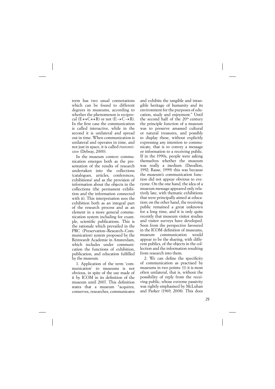term has two usual connotations which can be found to different degrees in museums, according to whether the phenomenon is reciprocal  $(E \leftrightarrow C \leftrightarrow R)$  or not  $(E \rightarrow C \rightarrow R)$ . In the first case the communication is called interactive, while in the second it is unilateral and spread out in time. When communication is unilateral and operates in time, and not just in space, it is called *transmission* (Debray, 2000).

In the museum context communication emerges both as the presentation of the results of research undertaken into the collections (catalogues, articles, conferences, exhibitions) and as the provision of information about the objects in the collections (the permanent exhibition and the information connected with it). This interpretation sees the exhibition both as an integral part of the research process and as an element in a more general communication system including for example, scientific publications. This is the rationale which prevailed in the PRC (Preservation–Research–Communication) system proposed by the Reinwardt Academie in Amsterdam, which includes under communication the functions of exhibition, publication, and education fulfilled by the museum.

1. Application of the term 'communication' to museums is not obvious, in spite of the use made of it by ICOM in its definition of the museum until 2007. This definition states that a museum "acquires, conserves, researches, communicates

and exhibits the tangible and intangible heritage of humanity and its environment for the purposes of education, study and enjoyment." Until the second half of the 20<sup>th</sup> century the principle function of a museum was to preserve amassed cultural or natural treasures, and possibly to display these, without explicitly expressing any intention to communicate, that is to convey a message or information to a receiving public. If in the 1990s, people were asking themselves whether the museum was really a medium (Davallon, 1992; Rasse, 1999) this was because the museum's communication function did not appear obvious to everyone. On the one hand, the idea of a museum message appeared only relatively late, with thematic exhibitions that were principally aimed at education; on the other hand, the receiving public remained a great unknown for a long time, and it is only quite recently that museum visitor studies and visitor surveys have developed. Seen from the perspective favoured in the ICOM definition of museums. museum communication would appear to be the sharing, with different publics, of the objects in the collection and the information resulting from research into them.

2. We can define the specificity of communication as practised by museums in two points: (1) it is most often unilateral, that is, without the possibility of reply from the receiving public, whose extreme passivity was rightly emphasised by McLuhan and Parker (1969, 2008). This does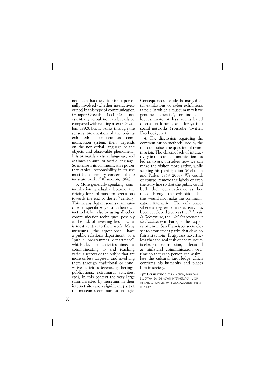not mean that the visitor is not personally involved (whether interactively or not) in this type of communication ( Hooper-Greenhill, 1991); (2) it is not essentially verbal, nor can it really be compared with reading a text (Davallon, 1992), but it works through the sensory presentation of the objects exhibited: "The museum as a communication system, then, depends on the non-verbal language of the objects and observable phenomena. It is primarily a visual language, and at times an aural or tactile language. So intense is its communicative power that ethical responsibility in its use must be a primary concern of the museum worker" (Cameron, 1968).

3. More generally speaking, communication gradually became the driving force of museum operations towards the end of the 20<sup>th</sup> century. This means that museums communicate in a specific way (using their own methods), but also by using all other communication techniques, possibly at the risk of investing less in what is most central to their work. Many museums – the largest ones – have a public relations department, or a "public programmes department", which develops activities aimed at communicating to and reaching various sectors of the public that are more or less targeted, and involving them through traditional or innovative activities (events, gatherings, publications, extramural activities, etc.), In this context the very large sums invested by museums in their internet sites are a significant part of the museum's communication logic.

Consequences include the many digital exhibitions or cyber-exhibitions (a field in which a museum may have genuine expertise), on-line catalogues, more or less sophisticated discussion forums, and forays into social networks (YouTube, Twitter, Facebook, etc.).

4. The discussion regarding the communication methods used by the museum raises the question of transmission. The chronic lack of interactivity in museum communication has led us to ask ourselves how we can make the visitor more active, while seeking his participation (McLuhan and Parker 1969, 2008). We could, of course, remove the labels or even the story line so that the public could build their own rationale as they move through the exhibition, but this would not make the communication interactive. The only places where a degree of interactivity has been developed (such as the *Palais de la Découverte*, the *Cité des sciences et de l'industrie* in Paris, or the Exploratorium in San Francisco) seem closer to amusement parks that develop fun attractions. It appears nevertheless that the real task of the museum is closer to transmission, understood as unilateral communication over time so that each person can assimilate the cultural knowledge which confirms his humanity and places him in society.

**CORRELATED:** CULTURAL ACTION, EXHIBITION, EDUCATION, DISSEMINATION, INTERPRETATION, MEDIA, MEDIATION, TRANSMISSION, PUBLIC AWARENESS, PUBLIC RELATIONS.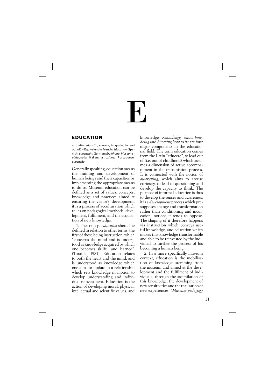# E

#### **EDUCATION**

*n.* (Latin: *educatio, educere*, to guide, to lead out of) – Equivalent in French: *éducation*; Spanish: *educación*; German: *Erziehung, Museumspädagogik*; Italian: *istruzione*; Portuguese: *educaçāo*.

Generally speaking, education means the training and development of human beings and their capacities by implementing the appropriate means to do so. Museum education can be defined as a set of values, concepts, knowledge and practices aimed at ensuring the visitor's development; it is a process of acculturation which relies on pedagogical methods, development, fulfilment, and the acquisition of new knowledge.

1. The concept *education* should be defined in relation to other terms, the first of these being instruction, which "concerns the mind and is understood as knowledge acquired by which one becomes skilful and learned" (Toraille, 1985). Education relates to both the heart and the mind, and is understood as knowledge which one aims to update in a relationship which sets knowledge in motion to develop understanding and individual reinvestment. Education is the action of developing moral, physical, intellectual and scientific values, and knowledge. *Knowledge, know-how, being* and *knowing how to be* are four major components in the educational field. The term education comes from the Latin "educere", to lead out of (i.e. out of childhood) which assumes a dimension of active accompaniment in the transmission process. It is connected with the notion of *awakening*, which aims to arouse curiosity, to lead to questioning and develop the capacity to think. The purpose of informal education is thus to develop the senses and awareness; it is a *development* process which presupposes change and transformation rather than conditioning and inculcation, notions it tends to oppose. The shaping of it therefore happens via instruction which conveys useful knowledge, and education which makes this knowledge transformable and able to be reinvested by the individual to further the process of his becoming a human being.

2. In a more specifically museum context, education is the mobilisation of knowledge stemming from the museum and aimed at the development and the fulfilment of individuals, through the assimilation of this knowledge, the development of new sensitivities and the realisation of new experiences. "*Museum pedagogy*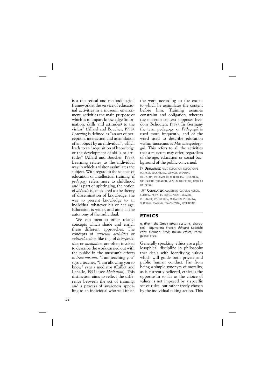is a theoretical and methodological framework at the service of educational activities in a museum environment, activities the main purpose of which is to impart knowledge (information, skills and attitudes) to the visitor" (Allard and Boucher, 1998). *Learning* is defined as "an act of perception, interaction and assimilation of an object by an individual", which leads to an "acquisition of knowledge or the development of skills or attitudes" (Allard and Boucher, 1998). Learning relates to the individual way in which a visitor assimilates the subject. With regard to the science of education or intellectual training, if *pedagogy* refers more to childhood and is part of upbringing, the notion of *didactic* is considered as the theory of dissemination of knowledge, the way to present knowledge to an individual whatever his or her age. Education is wider, and aims at the autonomy of the individual.

We can mention other related concepts which shade and enrich these different approaches. The concepts of *museum activities* or *cultural action*, like that of *interpretation* or *mediation*, are often invoked to describe the work carried out with the public in the museum's efforts at *transmission*. "I am teaching you" says a teacher, "I am allowing you to know" says a mediator (Caillet and Lehalle, 1995) (see *Mediation*). This distinction aims to reflect the difference between the act of training, and a process of awareness appealing to an individual who will finish the work according to the extent to which he assimilates the content before him. Training assumes constraint and obligation, whereas the museum context supposes freedom (Schouten, 1987). In Germany the term pedagogy, or *Pädagogik* is used more frequently, and of the word used to describe education within museums is *Museumspädagogik*. This refers to all the activities that a museum may offer, regardless of the age, education or social background of the public concerned.

 $\triangleright$  **DERIVATIVES:** ADULT EDUCATION, EDUCATIONAL SCIENCES, EDUCATIONAL SERVICES, LIFE-LONG EDUCATION, INFORMAL OR NON-FORMAL EDUCATION, MID-CAREER EDUCATION, MUSEUM EDUCATION, POPULAR EDUCATION.

**CORRELATED:** AWAKENING, CULTURAL ACTION, CULTURAL ACTIVITIES, DEVELOPMENT, DIDACTIC, INTERNSHIP, INSTRUCTION, MEDIATION, PEDAGOGY, TEACHING, TRAINING, TRANSMISSION, UPBRINGING.

#### **ETHICS**

*n.* (From the Greek *ethos*: customs, character) – Equivalent French: *éthique*; Spanish: *etica*; German: *Ethik*; Italian: *ethica*; Portuguese: *ética*.

Generally speaking, ethics are a philosophical discipline in philosophy that deals with identifying values which will guide both private and public human conduct. Far from being a simple synonym of morality, as is currently believed, ethics is the opposite in so far as the choice of values is not imposed by a specific set of rules, but rather freely chosen by the individual taking action. This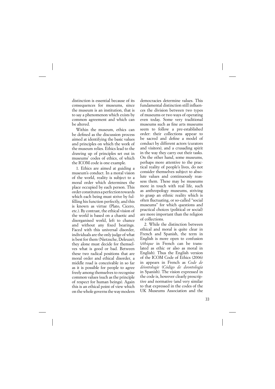distinction is essential because of its consequences for museums, since the museum is an institution, that is to say a phenomenon which exists by common agreement and which can be altered.

Within the museum, ethics can be defined as the discussion process aimed at identifying the basic values and principles on which the work of the museum relies. Ethics lead to the drawing up of principles set out in museums' codes of ethics, of which the ICOM code is one example.

1. Ethics are aimed at guiding a museum's conduct. In a moral vision of the world, reality is subject to a moral order which determines the place occupied by each person. This order constitutes a perfection towards which each being must strive by fulfilling his function perfectly, and this is known as virtue (Plato, Cicero, etc.). By contrast, the ethical vision of the world is based on a chaotic and disorganised world, left to chance and without any fixed bearings. Faced with this universal disorder, individuals are the only judge of what is best for them (Nietzsche, Deleuze); they alone must decide for themselves what is good or bad. Between these two radical positions that are moral order and ethical disorder, a middle road is conceivable in so far as it is possible for people to agree freely among themselves to recognise common values (such as the principle of respect for human beings). Again this is an ethical point of view which on the whole governs the way modern

democracies determine values. This fundamental distinction still influences the division between two types of museums or two ways of operating even today. Some very traditional museums such as fine arts museums seem to follow a pre-established order: their collections appear to be sacred and define a model of conduct by different actors (curators and visitors), and a crusading spirit in the way they carry out their tasks. On the other hand, some museums, perhaps more attentive to the practical reality of people's lives, do not consider themselves subject to absolute values and continuously reassess them. These may be museums more in touch with real life, such as anthropology museums, striving to grasp an ethnic reality which is often fluctuating, or so-called "social museums" for which questions and practical choices (political or social) are more important than the religion of collections.

2. While the distinction between ethical and moral is quite clear in French and Spanish, the term in English is more open to confusion (*éthique* in French can be translated as ethic or also as moral in English). Thus the English version of the ICOM Code of Ethics (2006) in appears in French as *Code de déontologie* (*Código de deontología* in Spanish). The vision expressed in the code is, however clearly prescriptive and normative (and very similar to that expressed in the codes of the UK Museums Association and the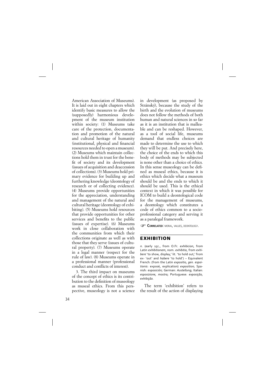American Association of Museums). It is laid out in eight chapters which identify basic measures to allow the (supposedly) harmonious development of the museum institution within society: (1) Museums take care of the protection, documentation and promotion of the natural and cultural heritage of humanity (institutional, physical and financial resources needed to open a museum). (2) Museums which maintain collections hold them in trust for the benefit of society and its development (issues of acquisition and deaccession of collections). (3) Museums hold primary evidence for building up and furthering knowledge (deontology of research or of collecting evidence). (4) Museums provide opportunities for the appreciation, understanding and management of the natural and cultural heritage (deontology of exhibiting). (5) Museums hold resources that provide opportunities for other services and benefits to the public (issues of expertise). (6) Museums work in close collaboration with the communities from which their collections originate as well as with those that they serve (issues of cultural property). (7) Museums operate in a legal manner (respect for the rule of law). (8) Museums operate in a professional manner (professional conduct and conflicts of interest).

3. The third impact on museums of the concept of ethics is its contribution to the definition of museology as museal ethics. From this perspective, museology is not a science in development (as proposed by Stránský), because the study of the birth and the evolution of museums does not follow the methods of both human and natural sciences in so far as it is an institution that is malleable and can be reshaped. However, as a tool of social life, museums demand that endless choices are made to determine the use to which they will be put. And precisely here, the choice of the ends to which this body of methods may be subjected is none other than a choice of ethics. In this sense museology can be defined as museal ethics, because it is ethics which decide what a museum should be and the ends to which it should be used. This is the ethical context in which it was possible for ICOM to build a deontological code for the management of museums, a deontology which constitutes a code of ethics common to a socioprofessional category and serving it as a paralegal framework.

**CORRELATED:** MORAL, VALUES, DEONTOLOGY.

#### **EXHIBITION**

*n*. (early 15c., from O.Fr. *exhibicion*, from Latin *exhibitionem*, nom. *exhibitio*, from *exhibere* 'to show, display,' lit. 'to hold out,' from ex- 'out' and *habere* 'to hold') – Equivalent French: (from the Latin *expositio, gen. espoitionis*: exposé, explication) *exposition*; Spanish: *exposición*; German: *Austellung*; Italian: *esposizione, mostra*; Portuguese: *exposição, exhibição.*

The term 'exhibition' refers to the result of the action of displaying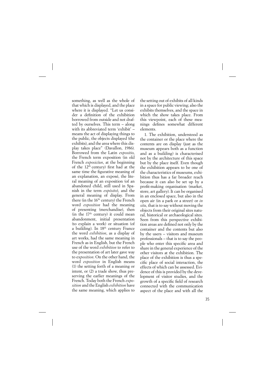something, as well as the whole of that which is displayed, and the place where it is displayed. "Let us consider a definition of the exhibition borrowed from outside and not drafted by ourselves. This term – along with its abbreviated term 'exhibit' – means the act of displaying things to the public, the objects displayed (the exhibits), and the area where this display takes place" (Davallon, 1986). Borrowed from the Latin *expositio*, the French term exposition (in old French *exposicïun*, at the beginning of the  $12<sup>th</sup>$  century) first had at the same time the figurative meaning of an explanation, an exposé, the literal meaning of an exposition (of an abandoned child, still used in Spanish in the term *expósito*), and the general meaning of display. From there (in the  $16<sup>th</sup>$  century) the French word *exposition* had the meaning of presenting (merchandise), then (in the  $17<sup>th</sup>$  century) it could mean abandonment, initial presentation (to explain a work) or situation (of a building). In 18<sup>th</sup> century France the word *exhibition*, as a display of art works, had the same meaning in French as in English, but the French use of the word *exhibition* to refer to the presentation of art later gave way to ex*position*. On the other hand, the word *exposition* in English means (1) the setting forth of a meaning or intent, or (2) a trade show, thus preserving the earlier meanings of the French. Today both the French *exposition* and the English *exhibition* have the same meaning, which applies to the setting out of exhibits of all kinds in a space for public viewing; also the exhibits themselves, and the space in which the show takes place. From this viewpoint, each of these meanings defines somewhat different elements.

1. The exhibition, understood as the container or the place where the contents are on display (just as the museum appears both as a function and as a building) is characterised not by the architecture of this space but by the place itself. Even though the exhibition appears to be one of the characteristics of museums, exhibition thus has a far broader reach because it can also be set up by a profit-making organisation (market, store, art gallery). It can be organised in an enclosed space, but also in the open air (in a park or a street) or *in situ*, that is to say without moving the objects from their original sites natural, historical or archaeological sites. Seen from this perspective exhibition areas are defined not only by the container and the contents but also by the users – visitors and museum professionals – that is to say the people who enter this specific area and share in the general experience of the other visitors at the exhibition. The place of the exhibition is thus a specific place of social interaction, the effects of which can be assessed. Evidence of this is provided by the development of visitor studies, and the growth of a specific field of research connected with the communication aspect of the place and with all the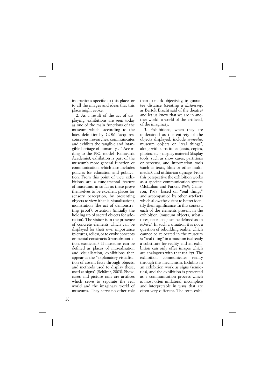interactions specific to this place, or to all the images and ideas that this place might evoke.

2. As a result of the act of displaying, exhibitions are seen today as one of the main functions of the museum which, according to the latest definition by ICOM, "acquires, conserves, researches, communicates and exhibits the tangible and intangible heritage of humanity…" According to the PRC model (Reinwardt Academie), exhibition is part of the museum's more general function of communication, which also includes policies for education and publication. From this point of view exhibitions are a fundamental feature of museums, in so far as these prove themselves to be excellent places for sensory perception, by presenting objects to view (that is, visualisation), monstration (the act of demonstrating proof), ostention (initially the holding up of sacred objects for adoration). The visitor is in the presence of concrete elements which can be displayed for their own importance (pictures, relics), or to evoke concepts or mental constructs (transubstantiation, exoticism). If museums can be defined as places of musealisation and visualisation, exhibitions then appear as the "explanatory visualisation of absent facts through objects, and methods used to display these, used as signs" (Schärer, 2003). Showcases and picture rails are artifices which serve to separate the real world and the imaginary world of museums. They serve no other role than to mark objectivity, to guarantee distance (creating a *distancing*, as Bertolt Brecht said of the theatre) and let us know that we are in another world, a world of the artificial, of the imaginary.

3. Exhibitions, when they are understood as the entirety of the objects displayed, include *musealia*, museum objects or "real things", along with substitutes (casts, copies, photos, etc.), display material (display tools, such as show cases, partitions or screens), and information tools (such as texts, films or other multimedia), and utilitarian signage. From this perspective the exhibition works as a specific communication system (McLuhan and Parker, 1969; Cameron, 1968) based on "real things" and accompanied by other artefacts which allow the visitor to better identify their significance. In this context, each of the elements present in the exhibition (museum objects, substitutes, texts, etc.) can be defined as an *exhibit*. In such a situation it is not a question of rebuilding reality, which cannot be relocated in the museum (a "real thing" in a museum is already a substitute for reality and an exhibition can only offer images which are analogous with that reality). The exhibition communicates reality through this mechanism. Exhibits in an exhibition work as signs (semiotics), and the exhibition is presented as a communication process which is most often unilateral, incomplete and interpretable in ways that are often very different. The term exhi-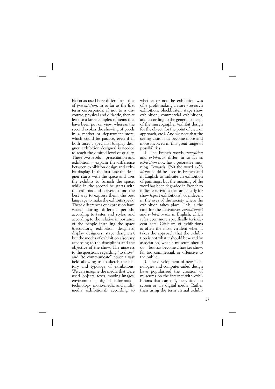bition as used here differs from that of *presentation*, in so far as the first term corresponds, if not to a discourse, physical and didactic, then at least to a large complex of items that have been put on view, whereas the second evokes the showing of goods in a market or department store, which could be passive, even if in both cases a specialist (display designer, exhibition designer) is needed to reach the desired level of quality. These two levels – presentation and exhibition – explain the difference between exhibition design and exhibit display. In the first case the designer starts with the space and uses the exhibits to furnish the space, while in the second he starts with the exhibits and strives to find the best way to express them, the best language to make the exhibits speak. These differences of expression have varied during different periods, according to tastes and styles, and according to the relative importance of the people installing the space (decorators, exhibition designers, display designers, stage designers), but the modes of exhibition also vary according to the disciplines and the objective of the show. The answers to the questions regarding "to show" and "to communicate" cover a vast field allowing us to sketch the history and typology of exhibitions. We can imagine the media that were used (objects, texts, moving images, environments, digital information technology, mono-media and multimedia exhibitions); according to whether or not the exhibition was of a profit-making nature (research exhibition, blockbuster, stage show exhibition, commercial exhibition), and according to the general concept of the museographer (exhibit design for the object, for the point of view or approach, etc.). And we note that the seeing visitor has become more and more involved in this great range of possibilities.

4. The French words *exposition* and *exhibition* differ, in so far as *exhibition* now has a pejorative meaning. Towards 1760 the word *exhibition* could be used in French and in English to indicate an exhibition of paintings, but the meaning of the word has been degraded in French to indicate activities that are clearly for show (sport exhibitions), or indecent in the eyes of the society where the exhibition takes place. This is the case for the derivatives *exhibitionist* and *exhibitionism* in English, which refer even more specifically to indecent acts. Criticism of exhibitions is often the most virulent when it takes the approach that the exhibition is not what it should be – and by association, what a museum should do – but has become a hawker show, far too commercial, or offensive to the public.

5. The development of new technologies and computer-aided design have popularised the creation of museums on the internet with exhibitions that can only be visited on screen or via digital media. Rather than using the term virtual exhibi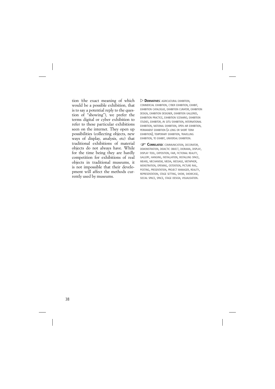tion (the exact meaning of which would be a possible exhibition, that is to say a potential reply to the question of "showing"), we prefer the terms digital or cyber exhibition to refer to these particular exhibitions seen on the internet. They open up possibilities (collecting objects, new ways of display, analysis, etc) that traditional exhibitions of material objects do not always have. While for the time being they are hardly competition for exhibitions of real objects in traditional museums, it is not impossible that their development will affect the methods currently used by museums.

 $\triangleright$  **DERIVATIVES:** AGRICULTURAL EXHIBITION. COMMERCIAL EXHIBITION, CYBER EXHIBITION, EXHIBIT, EXHIBITION CATALOGUE, EXHIBITION CURATOR, EXHIBITION DESIGN, EXHIBITION DESIGNER, EXHIBITION GALLERIES, EXHIBITION PRACTICE, EXHIBITION SCENARIO, EXHIBITION STUDIES, EXHIBITOR, *IN SITU* EXHIBITION, INTERNATIONAL EXHIBITION, NATIONAL EXHIBITION, OPEN AIR EXHIBITION, PERMANENT EXHIBITION (A LONG OR SHORT TERM EXHIBITION), TEMPORARY EXHIBITION, TRAVELLING EXHIBITION, TO EXHIBIT, UNIVERSAL EXHIBITION.

**CORRELATED: COMMUNICATION, DECORATOR,** DEMONSTRATION, DIDACTIC OBJECT, DIORAMA, DISPLAY, DISPLAY TOOL, EXPOSITION, FAIR, FICTIONAL REALITY, GALLERY, HANGING, INSTALLATION, INSTALLING SPACE, MEANS, MECHANISM, MEDIA, MESSAGE, METAPHOR, MONSTRATION, OPENING, OSTENTION, PICTURE RAIL, POSTING, PRESENTATION, PROJECT MANAGER, REALITY, REPRESENTATION, STAGE SETTING, SHOW, SHOWCASE, SOCIAL SPACE, SPACE, STAGE DESIGN, VISUALISATION.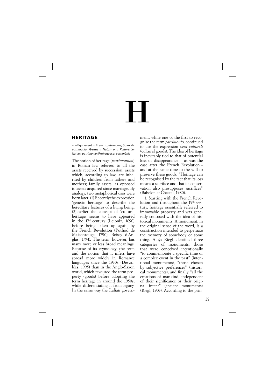# $\overline{\mathbf{H}}$

## **HERITAGE**

*n.* – Equivalent in French: *patrimoine*; Spanish: *patrimonio*; German: *Natur- und Kulturerbe*; Italian: *patrimonio*; Portuguese: *patrimônio*.

The notion of heritage (*patrimonium*) in Roman law referred to all the assets received by succession, assets which, according to law, are inherited by children from fathers and mothers; family assets, as opposed to assets acquired since marriage. By analogy, two metaphorical uses were born later. (1) Recently the expression 'genetic heritage' to describe the hereditary features of a living being;  $(2)$  earlier the concept of 'cultural heritage' seems to have appeared in the  $17<sup>th</sup>$  century (Leibniz, 1690) before being taken up again by the French Revolution (Puthod de Maisonrouge, 1790); Boissy d'Anglas, 1794). The term, however, has many more or less broad meanings. Because of its etymology, the term and the notion that it infers have spread more widely in Romance languages since the 1930s (Desvallées, 1995) than in the Anglo-Saxon world, which favoured the term property (goods) before adopting the term heritage in around the 1950s, while differentiating it from legacy. In the same way the Italian government, while one of the first to recognise the term *patrimonio*, continued to use the expression *beni culturali* (cultural goods). The idea of heritage is inevitably tied to that of potential loss or disappearance – as was the case after the French Revolution – and at the same time to the will to preserve these goods. "Heritage can be recognised by the fact that its loss means a sacrifice and that its conservation also presupposes sacrifices" (Babelon et Chastel, 1980).

1. Starting with the French Revolution and throughout the 19<sup>th</sup> century, heritage essentially referred to immovable property and was generally confused with the idea of historical monuments. A monument, in the original sense of the word, is a construction intended to perpetuate the memory of somebody or some thing. Aloys Riegl identified three categories of monuments: those that were conceived intentionally "to commemorate a specific time or a complex event in the past" (intentional monuments), "those chosen by subjective preferences" (historical monuments), and finally "all the creations of mankind, independent of their significance or their original intent" (ancient monuments) (Riegl, 1903). According to the prin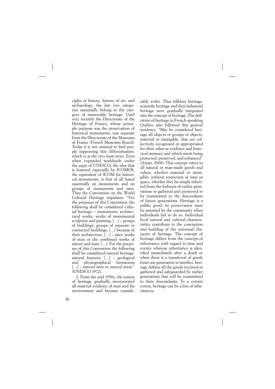ciples of history, history of art, and archaeology, the last two categories essentially belong to the category of immovable heritage. Until very recently the Directorate of the Heritage of France, whose principle purpose was the preservation of historical monuments, was separate from the Directorate of the Museums of France (French Museums Board). Today it is not unusual to find people supporting this differentiation, which is at the very least strict. Even when expanded worldwide under the aegis of UNESCO, the idea that is fostered especially by ICOMOS, the equivalent of ICOM for historical monuments, is first of all based essentially on monuments and on groups of monuments and sites. Thus the Convention on the World Cultural Heritage stipulates: "For the purposes of this Convention, the following shall be considered cultural heritage: – monuments: architectural works, works of monumental sculpture and painting, […] – groups of buildings: groups of separate or connected buildings, […] because of their architecture, […] – sites: works of man or the combined works of nature and man, […]. For the purposes of this Convention the following shall be considered natural heritage: natural features, […] – geological and physiographical formations [...] – natural sites or natural areas." (UNESCO 1972).

2. From the mid 1950s, the notion of heritage gradually incorporated all material evidence of man and his environment and became considerably wider. Thus folklore heritage, scientific heritage and then industrial heritage were gradually integrated into the concept of heritage. The definition of heritage in French-speaking Québec also followed this general tendency: "May be considered heritage all objects or groups of objects, material or intangible, that are collectively recognised or appropriated for their value as evidence and historical memory and which merit being protected, preserved, and enhanced" (Arpin, 2000). This concept refers to all natural or man-made goods and values, whether material or intangible, without restriction of time or space, whether they be simply inherited from the forbears of earlier generations or gathered and preserved to be transmitted to the descendants of future generations. Heritage is a public good; its preservation must be assumed by the community when individuals fail to do so. Individual local natural and cultural characteristics contribute to the conception and building of the universal character of heritage. The concept of heritage differs from the concept of inheritance with regard to time and events: whereas inheritance is identified immediately after a death or when there is a transferral of goods from one generation to another, heritage defines all the goods received or gathered and safeguarded by earlier generations that will be transmitted to their descendants. To a certain extent, heritage can be a line of inheritances.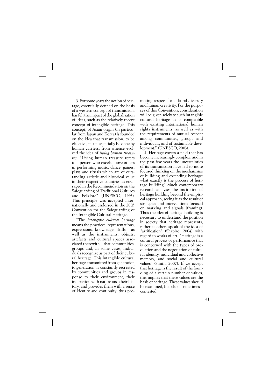3. For some years the notion of heritage, essentially defined on the basis of a western concept of transmission, has felt the impact of the globalisation of ideas, such as the relatively recent concept of intangible heritage. This concept, of Asian origin (in particular from Japan and Korea) is founded on the idea that transmission, to be effective, must essentially be done by human carriers, from whence evolved the idea of *living human treasures*: "Living human treasure refers to a person who excels above others in performing music, dance, games, plays and rituals which are of outstanding artistic and historical value in their respective countries as envisaged in the Recommendation on the Safeguarding of Traditional Cultures and Folklore" (UNESCO, 1993). This principle was accepted internationally and endorsed in the 2003 Convention for the Safeguarding of the Intangible Cultural Heritage.

"The *intangible cultural heritage* means the practices, representations, expressions, knowledge, skills – as well as the instruments, objects, artefacts and cultural spaces associated therewith – that communities, groups and, in some cases, individuals recognize as part of their cultural heritage. This intangible cultural heritage, transmitted from generation to generation, is constantly recreated by communities and groups in response to their environment, their interaction with nature and their history, and provides them with a sense of identity and continuity, thus promoting respect for cultural diversity and human creativity. For the purposes of this Convention, consideration will be given solely to such intangible cultural heritage as is compatible with existing international human rights instruments, as well as with the requirements of mutual respect among communities, groups and individuals, and of sustainable development." (UNESCO, 2003).

4. Heritage covers a field that has become increasingly complex, and in the past few years the uncertainties of its transmission have led to more focused thinking on the mechanisms of building and extending heritage: what exactly is the process of heritage building? Much contemporary research analyses the institution of heritage building beyond the empirical approach, seeing it as the result of strategies and interventions focused on marking and signals (framing). Thus the idea of heritage building is necessary to understand the position in society that heritage represents, rather as others speak of the idea of "artification" (Shapiro, 2004) with regard to works of art. "Heritage is a cultural process or performance that is concerned with the types of production and the negotiation of cultural identity, individual and collective memory, and social and cultural values" (Smith, 2007). If we accept that heritage is the result of the founding of a certain number of values, this implies that these values are the basis of heritage. These values should be examined, but also – sometimes – contested.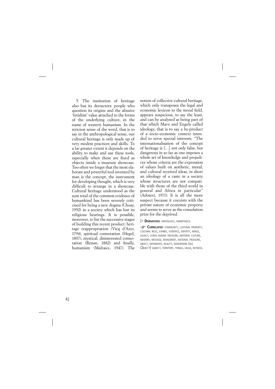5. The institution of heritage also has its detractors: people who question its origins and the abusive 'fetishist' value attached to the forms of the underlying culture, in the name of western humanism. In the strictest sense of the word, that is to say in the anthropological sense, our cultural heritage is only made up of very modest practices and skills. To a far greater extent it depends on the ability to make and use these tools, especially when these are fixed as objects inside a museum showcase. Too often we forget that the most elaborate and powerful tool invented by man is the concept, the instrument for developing thought, which is very difficult to arrange in a showcase. Cultural heritage understood as the sum total of the common evidence of humankind has been severely criticised for being a new dogma (Choay, 1992) in a society which has lost its religious bearings. It is possible, moreover, to list the successive stages of building this recent product: heritage reappropriation (Vicq d'Azyr, 1794), spiritual connotation (Hegel, 1807), mystical, disinterested connotation (Renan, 1882) and finally, humanism (Malraux, 1947). The notion of collective cultural heritage, which only transposes the legal and economic lexicon to the moral field. appears suspicious, to say the least, and can be analysed as being part of that which Marx and Engels called ideology, that is to say a by-product of a socio-economic context intended to serve special interests. "The internationalisation of the concept of heritage is […] not only false, but dangerous in so far as one imposes a whole set of knowledge and prejudices whose criteria are the expression of values built on aesthetic, moral, and cultural received ideas, in short an ideology of a caste in a society whose structures are not compatible with those of the third world in general and Africa in particular" (Adotevi, 1971). It is all the more suspect because it coexists with the private nature of economic property and seems to serve as the consolation prize for the deprived.

### $\triangleright$  **DERIVATIVES:** HERITOLOGY, INHERITANCE.

**CORRELATED: COMMUNITY, CULTURAL PROPERTY,** CULTURAL RELIC, EXHIBIT, EVIDENCE, IDENTITY, IMAGE, LEGACY, LIVING HUMAN TREASURE, MATERIAL CULTURE, MEMORY, MESSAGE, MONUMENT, NATIONAL TREASURE, OBJECT, PATRIMONY, REALITY, SEMIOPHORE (SEE *OBJECT*) SUBJECT, TERRITORY, THINGS, VALUE, WITNESS.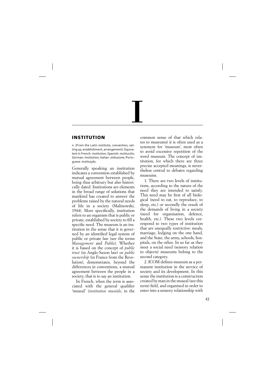# I

# **INSTITUTION**

*n*. (From the Latin *institutio*, convention, setting up, establishment, arrangement). Equivalent in French: *institution*; Spanish: *institución*; German: *Institution*; Italian: *istituzione*; Portuguese: *instituiçāo*.

Generally speaking an institution indicates a convention established by mutual agreement between people, being thus arbitrary but also historically dated. Institutions are elements in the broad range of solutions that mankind has created to answer the problems raised by the natural needs of life in a society (Malinowski, 1944). More specifically, institution refers to an organism that is public or private, established by society to fill a specific need. The museum is an institution in the sense that it is governed by an identified legal system of public or private law (see the terms *Management* and *Public*). Whether it is based on the concept of *public trust* (in Anglo-Saxon law) or *public ownership* (in France from the Revolution), demonstrates, beyond the differences in conventions, a mutual agreement between the people in a society, that is to say an institution.

In French, when the term is associated with the general qualifier 'museal' (*institution muséale*, in the common sense of that which relates to museums) it is often used as a synonym for 'museum', most often to avoid excessive repetition of the word museum. The concept of institution, for which there are three precise accepted meanings, is nevertheless central to debates regarding museums.

1. There are two levels of institutions, according to the nature of the need they are intended to satisfy. This need may be first of all biological (need to eat, to reproduce, to sleep, etc.) or secondly the result of the demands of living in a society (need for organisation, defence, health, etc.). These two levels correspond to two types of institution that are unequally restrictive: meals, marriage, lodging on the one hand, and the State, the army, schools, hospitals, on the other. In so far as they meet a social need (sensory relation to objects) museums belong to the second category.

2. ICOM defines museum as a permanent institution in the service of society and its development. In this sense the institution is a construction created by man in the museal (see this term) field, and organised in order to enter into a sensory relationship with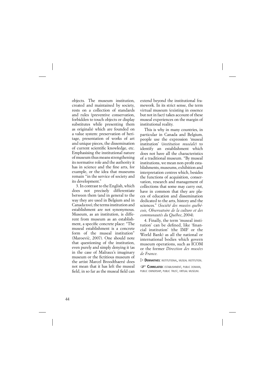objects. The museum institution, created and maintained by society, rests on a collection of standards and rules (preventive conservation, forbidden to touch objects or display substitutes while presenting them as originals) which are founded on a value system: preservation of heritage, presentation of works of art and unique pieces, the dissemination of current scientific knowledge, etc. Emphasising the institutional nature of museum thus means strengthening its normative role and the authority it has in science and the fine arts, for example, or the idea that museums remain "in the service of society and its development."

3. In contrast to the English, which does not precisely differentiate between them (and in general to the way they are used in Belgium and in Canada too), the terms institution and establishment are not synonymous. Museum, as an institution, is different from museum as an establishment, a specific concrete place: "The museal establishment is a concrete form of the museal institution" (Maroević, 2007). One should note that questioning of the institution, even purely and simply denying it (as in the case of Malraux's imaginary museum or the fictitious museum of the artist Marcel Broodthaers) does not mean that it has left the museal field, in so far as the museal field can

extend beyond the institutional framework. In its strict sense, the term virtual museum (existing in essence but not in fact) takes account of these museal experiences on the margin of institutional reality.

This is why in many countries, in particular in Canada and Belgium, people use the expression 'museal institution' (*institution muséale*) to identify an establishment which does not have all the characteristics of a traditional museum. "By museal institutions, we mean non-profit establishments, museums, exhibition and interpretation centres which, besides the functions of acquisition, conservation, research and management of collections that some may carry out, have in common that they are places of education and dissemination dedicated to the arts, history and the sciences." (*Société des musées québécois, Observatoire de la culture et des communautés du Québec*, 2004).

4. Finally, the term 'museal institution' can be defined, like 'financial institution' (the IMF or the World Bank) as all the national or international bodies which govern museum operations, such as ICOM or the former *Direction des musées de France*.

 $\triangleright$  **DERIVATIVES:** INSTITUTIONAL, MUSEAL INSTITUTION.

**CORRELATED:** ESTABLISHMENT, PUBLIC DOMAIN, PUBLIC OWNERSHIP, PUBLIC TRUST, VIRTUAL MUSEUM.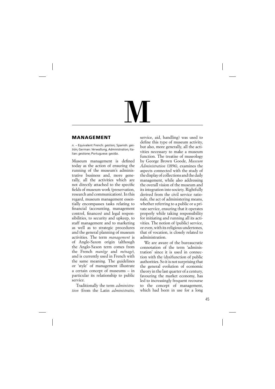# ${\bf M}$

# **MANAGEMENT**

*n.* – Equivalent French: *gestion*; Spanish: *gestión*; German: *Verwaltung, Administration*; Italian: *gestione*; Portuguese: g*estāo*.

Museum management is defined today as the action of ensuring the running of the museum's administrative business and, more generally, all the activities which are not directly attached to the specific fields of museum work (preservation, research and communication). In this regard, museum management essentially encompasses tasks relating to financial (accounting, management control, finances) and legal responsibilities, to security and upkeep, to staff management and to marketing as well as to strategic procedures and the general planning of museum activities. The term *management* is of Anglo-Saxon origin (although the Anglo-Saxon term comes from the French *manège* and *ménage*), and is currently used in French with the same meaning. The guidelines or 'style' of management illustrate a certain concept of museums – in particular its relationship to public service.

Traditionally the term *administration* (from the Latin *administratio*, service, aid, handling) was used to define this type of museum activity, but also, more generally, all the activities necessary to make a museum function. The treatise of museology by George Brown Goode, *Museum Administration* (1896), examines the aspects connected with the study of the display of collections and the daily management, while also addressing the overall vision of the museum and its integration into society. Rightfully derived from the civil service rationale, the act of administering means, whether referring to a public or a private service, ensuring that it operates properly while taking responsibility for initiating and running all its activities. The notion of (public) service, or even, with its religious undertones, that of vocation, is closely related to administration.

We are aware of the bureaucratic connotation of the term 'administration' since it is used in connection with the (dys)function of public authorities. So it is not surprising that the general evolution of economic theory in the last quarter of a century, favouring the market economy, has led to increasingly frequent recourse to the concept of management, which had been in use for a long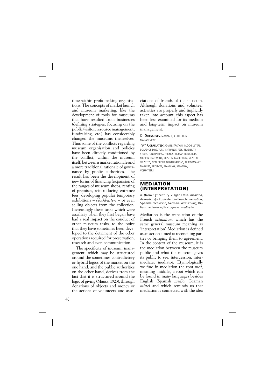time within profit-making organisations. The concepts of market launch and museum marketing, like the development of tools for museums that have resulted from businesses (defining strategies, focusing on the public/visitor, resource management, fundraising, etc.) has considerably changed the museums themselves. Thus some of the conflicts regarding museum organisation and policies have been directly conditioned by the conflict, within the museum itself, between a market rationale and a more traditional rationale of governance by public authorities. The result has been the development of new forms of financing (expansion of the ranges of museum shops, renting of premises, reintroducing entrance fees, developing popular temporary exhibitions – *blockbusters* – or even selling objects from the collection. Increasingly these tasks which were auxiliary when they first began have had a real impact on the conduct of other museum tasks, to the point that they have sometimes been developed to the detriment of the other operations required for preservation, research and even communication.

The specificity of museum management, which may be structured around the sometimes contradictory or hybrid logics of the market on the one hand, and the public authorities on the other hand, derives from the fact that it is structured around the logic of giving (Mauss, 1923), through donations of objects and money or the actions of volunteers and associations of friends of the museum. Although donations and volunteer activities are properly and implicitly taken into account, this aspect has been less examined for its medium and long-term impact on museum management.

### **DERIVATIVES: MANAGER, COLLECTION MANAGEMENT**

**CORRELATED: ADMINISTRATION, BLOCKBUSTERS,** BOARD OF DIRECTORS, ENTRANCE FEES, FEASIBILITY STUDY, FUNDRAISING, FRIENDS, HUMAN RESOURCES, MISSION STATEMENT, MUSEUM MARKETING, MUSEUM TRUSTEES, NON-PROFIT ORGANISATIONS, PERFORMANCE MARKERS, PROJECTS, PLANNING, STRATEGY, VOLUNTEERS.

### **MEDIATION (INTERPRETATION)**

*n.* (from 15th century Vulgar Latin: *mediatio*, de *mediare*) – Equivalent in French: *médiation*; Spanish: *mediación*; German: *Vermittlung*; Italian: *mediazione*; Portuguese: *mediaçāo*.

Mediation is the translation of the French *médiation*, which has the same general museum meaning as 'interpretation'. Mediation is defined as an action aimed at reconciling parties or bringing them to agreement. In the context of the museum, it is the mediation between the museum public and what the museum gives its public to see; intercession, intermediate, mediator. Etymologically we find in mediation the root *med*, meaning 'middle', a root which can be found in many languages besides English (Spanish *medio*, German *mitte*) and which reminds us that mediation is connected with the idea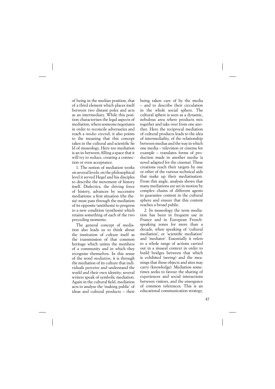of being in the median position, that of a third element which places itself between two distant poles and acts as an intermediary. While this position characterises the legal aspects of mediation, where someone negotiates in order to reconcile adversaries and reach a *modus vivendi*, it also points to the meaning that this concept takes in the cultural and scientific fie ld of museology. Here too mediation is an in-between, filling a space that it will try to reduce, creating a connection or even acceptance.

1. The notion of mediation works on several levels: on the philosophical level it served Hegel and his disciples to describe the movement of history itself. Dialectics, the driving force of history, advances by successive mediations: a first situation (the thesis) must pass through the mediation of its opposite (antithesis) to progress to a new condition (synthesis) which retains something of each of the two preceding moments.

The general concept of mediation also leads us to think about the institution of culture itself as the transmission of that common heritage which unites the members of a community and in which they recognise themselves. In this sense of the word *mediation*, it is through the mediation of its culture that individuals perceive and understand the world and their own identity; several writers speak of symbolic mediation. Again in the cultural field, mediation acts to analyse the 'making public' of ideas and cultural products – their being taken care of by the media – and to describe their circulation in the whole social sphere. The cultural sphere is seen as a dynamic, nebulous area where products mix together and take over from one another. Here the reciprocal mediation of cultural products leads to the idea of intermediality, of the relationship between medias and the way in which one media – television or cinema for example – translates forms of production made in another media (a novel adapted for the cinema). These creations reach their targets by one or other of the various technical aids that make up their mediatisation. From this angle, analysis shows that many mediations are set in motion by complex chains of different agents to guarantee content in the cultural sphere and ensure that this content reaches a broad public.

2. In museology the term mediation has been in frequent use in France and in European Frenchspeaking zones for more than a decade, when speaking of 'cultural mediation', or 'scientific mediation' and 'mediator'. Essentially it refers to a whole range of actions carried out in a museal context in order to build bridges between that which is exhibited (seeing) and the meanings that these objects and sites may carry (knowledge). Mediation sometimes seeks to favour the sharing of experiences and social interactions between visitors, and the emergence of common references. This is an educational communication strategy,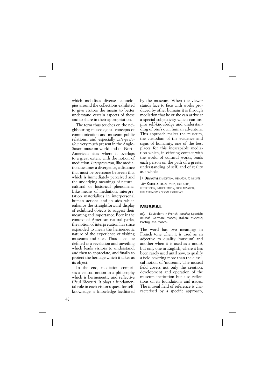which mobilises diverse technologies around the collections exhibited to give visitors the means to better understand certain aspects of these and to share in their appropriation.

The term thus touches on the neighbouring museological concepts of communication and museum public relations, and especially *interpretation*, very much present in the Anglo-Saxon museum world and on North American sites where it overlaps to a great extent with the notion of mediation. *Interpretation*, like mediation, assumes a divergence, a distance that must be overcome between that which is immediately perceived and the underlying meanings of natural, cultural or historical phenomena. Like means of mediation, interpretation materialises in interpersonal human actions and in aids which enhance the straightforward display of exhibited objects to suggest their meaning and importance. Born in the context of American natural parks, the notion of interpretation has since expanded to mean the hermeneutic nature of the experience of visiting museums and sites. Thus it can be defined as a revelation and unveiling which leads visitors to understand, and then to appreciate, and finally to protect the heritage which it takes as its object.

In the end, mediation comprises a central notion in a philosophy which is hermeneutic and reflective (Paul Ricœur). It plays a fundamental role in each visitor's quest for selfknowledge, a knowledge facilitated by the museum. When the viewer stands face to face with works produced by other humans it is through mediation that he or she can arrive at a special subjectivity which can inspire self-knowledge and understanding of one's own human adventure. This approach makes the museum, the custodian of the evidence and signs of humanity, one of the best places for this inescapable mediation which, in offering contact with the world of cultural works, leads each person on the path of a greater understanding of self, and of reality as a whole.

 $\triangleright$  **DERIVATIVES:** MEDIATION, MEDIATOR, TO MEDIATE. **CORRELATED: ACTIVITIES, EDUCATION,** INTERCESSION, INTERPRETATION, POPULARISATION, PUBLIC RELATIONS, VISITOR EXPERIENCE.

## **MUSEAL**

*adj.* – Equivalent in French: *muséal*; Spanish: *museal*; German: *museal*; Italian: *museale*; Portuguese: *museal*.

The word has two meanings in French (one when it is used as an adjective to qualify 'museum' and another when it is used as a noun), but only one in English, where it has been rarely used until now, to qualify a field covering more than the classical notion of 'museum'. The museal field covers not only the creation, development and operation of the museum institution but also reflections on its foundations and issues. The museal field of reference is characterised by a specific approach,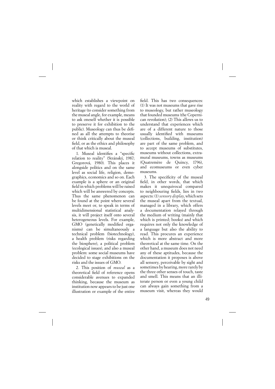which establishes a viewpoint on reality with regard to the world of heritage (to consider something from the museal angle, for example, means to ask oneself whether it is possible to preserve it for exhibition to the public). Museology can thus be defined as all the attempts to theorise or think critically about the museal field, or as the ethics and philosophy of that which is museal.

1. Museal identifies a "specific relation to reality" (Stránský, 1987; Gregorová, 1980). This places it alongside politics and on the same level as social life, religion, demographics, economics and so on. Each example is a sphere or an original field in which problems will be raised which will be answered by concepts. Thus the same phenomenon can be found at the point where several levels meet or, to speak in terms of multidimensional statistical analysis, it will project itself onto several heterogeneous levels. For example, GMO (genetically modified organisms) can be simultaneously a technical problem (biotechnology), a health problem (risks regarding the biosphere), a political problem (ecological issues), and also a museal problem: some social museums have decided to stage exhibitions on the risks and the issues of GMO.

2. This position of *museal* as a theoretical field of reference opens considerable avenues to expanded thinking, because the museum as institution now appears to be just one illustration or example of the entire

field. This has two consequences: (1) It was not museums that gave rise to museology, but rather museology that founded museums (the Copernican revolution); (2) This allows us to understand that experiences which are of a different nature to those usually identified with museums (collections, building, institution) are part of the same problem, and to accept museums of substitutes, museums without collections, extramural museums, towns as museums (Quatremère de Quincy, 1796), and ecomuseums or even cyber museums.

3. The specificity of the museal field, in other words, that which makes it unequivocal compared to neighbouring fields, lies in two aspects: (1) *sensory display*, which sets the museal apart from the textual, managed in a library, which offers a documentation relayed through the medium of writing (mainly that which is printed; books) and which requires not only the knowledge of a language but also the ability to read. This procures an experience which is more abstract and more theoretical at the same time. On the other hand, a museum does not need any of these aptitudes, because the documentation it proposes is above all sensory, perceivable by sight and sometimes by hearing, more rarely by the three other senses of touch, taste and smell. This means that an illiterate person or even a young child can always gain something from a museum visit, whereas they would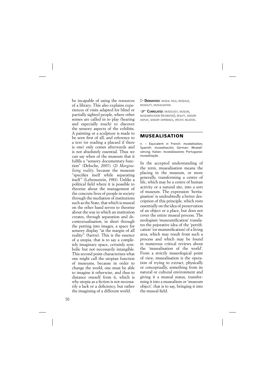be incapable of using the resources of a library. This also explains experiences of visits adapted for blind or partially sighted people, where other senses are called in to play (hearing and especially touch) to discover the sensory aspects of the exhibits. A painting or a sculpture is made to be seen first of all, and reference to a text (or reading a placard if there is one) only comes afterwards and is not absolutely essential. Thus we can say when of the museum that it fulfils a "sensory documentary function" (Deloche, 2007). (2) *Marginalising reality*, because the museum "specifies itself while separating itself" (Lebensztein, 1981). Unlike a political field where it is possible to theorise about the management of the concrete lives of people in society through the mediation of institutions such as the State, that which is museal on the other hand serves to theorise about the way in which an institution creates, through separation and decontextualisation, in short through the putting into images, a space for sensory display "at the margin of all reality" (Sartre). This is the essence of a utopia, that is to say a completely imaginary space, certainly symbolic but not necessarily intangible. This second point characterises what one might call the utopian function of museums, because in order to change the world, one must be able to imagine it otherwise, and thus to distance oneself from it, which is why utopia as a fiction is not necessarily a lack or a deficiency, but rather the imagining of a different world.

 $\triangleright$  **DERIVATIVES:** MUSEAL FIFLD, MUSEALIA, MUSEALITY, MUSEALISATION.

**CORRELATED:** MUSEOLOGY, MUSEUM, MUSEUMIFICATION (PEJORATIVE), REALITY, SENSORY DISPLAY, SENSORY EXPERIENCE, SPECIFIC RELATION.

## **MUSEALISATION**

*n.* – Equivalent in French: *muséalisation*; Spanish: *musealisación*; German: *Musealisierung*; Italian: *musealizazione*; Portuguese: *musealisaçāo*.

In the accepted understanding of the term, musealisation means the placing in the museum, or more generally, transforming a centre of life, which may be a centre of human activity or a natural site, into a sort of museum. The expression 'heritagisation' is undoubtedly a better description of this principle, which rests essentially on the idea of preservation of an object or a place, but does not cover the entire museal process. The neologism 'museumification' translates the pejorative idea of the 'petrification' (or mummification) of a living area, which may result from such a process and which may be found in numerous critical reviews about the 'musealisation of the world'. From a strictly museological point of view, musealisation is the operation of trying to extract, physically or conceptually, something from its natural or cultural environment and giving it a museal status, transforming it into a musealium or 'museum object', that is to say, bringing it into the museal field.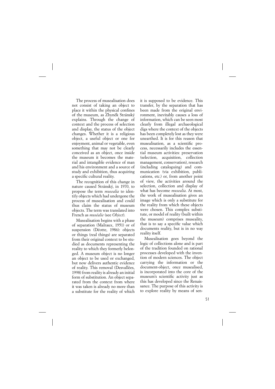The process of musealisation does not consist of taking an object to place it within the physical confines of the museum, as Zbyněk Stránský explains. Through the change of context and the process of selection and display, the status of the object changes. Whether it is a religious object, a useful object or one for enjoyment, animal or vegetable, even something that may not be clearly conceived as an object, once inside the museum it becomes the material and intangible evidence of man and his environment and a source of study and exhibition, thus acquiring a specific cultural reality.

The recognition of this change in nature caused Stránský, in 1970, to propose the term *musealia* to identify objects which had undergone the process of musealisation and could thus claim the status of museum objects. The term was translated into French as *muséalie* (see *Object*).

Musealisation begins with a phase of separation (Malraux, 1951) or of suspension (Déotte, 1986): objects or things (real things) are separated from their original context to be studied as documents representing the reality to which they formerly belonged. A museum object is no longer an object to be used or exchanged, but now delivers authentic evidence of reality. This removal (Desvallées, 1998) from reality is already an initial form of substitution. An object separated from the context from where it was taken is already no more than a substitute for the reality of which

it is supposed to be evidence. This transfer, by the separation that has been made from the original environment, inevitably causes a loss of information, which can be seen most clearly from illegal archaeological digs where the context of the objects has been completely lost as they were unearthed. It is for this reason that musealisation, as a scientific process, necessarily includes the essential museum activities: preservation (selection, acquisition, collection management, conservation), research (including cataloguing) and communication (via exhibition, publications, etc.) or, from another point of view, the activities around the selection, collection and display of what has become *musealia*. At most, the work of musealisation gives an image which is only a substitute for the reality from which these objects were chosen. This complex substitute, or model of reality (built within the museum) comprises museality, that is to say a specific value which documents reality, but is in no way reality itself.

Musealisation goes beyond the logic of collections alone and is part of the tradition founded on rational processes developed with the invention of modern sciences. The object carrying the information or the document-object, once musealised, is incorporated into the core of the museum's scientific activity just as this has developed since the Renaissance. The purpose of this activity is to explore reality by means of sen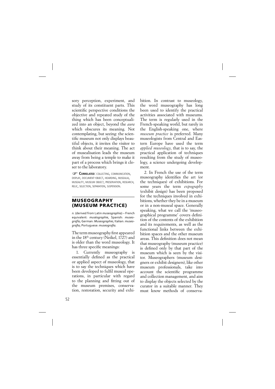sory perception, experiment, and study of its constituent parts. This scientific perspective conditions the objective and repeated study of the thing which has been conceptualized into an object, beyond the *aura* which obscures its meaning. Not contemplating, but seeing: the scientific museum not only displays beautiful objects, it invites the visitor to think about their meaning. The act of musealisation leads the museum away from being a temple to make it part of a process which brings it closer to the laboratory.

**CORRELATED:** COLLECTING, COMMUNICATION, DISPLAY, DOCUMENT-OBJECT, HOARDING, MUSEALIA, MUSEALITY, MUSEUM OBJECT, PRESERVATION, RESEARCH, RELIC, SELECTION, SEPARATION, SUSPENSION.

### **MUSEOGRAPHY (MUSEUM PRACTICE)**

*n.* (derived from Latin *museographia*) – French equivalent: *muséographie*, Spanish: *museografía*; German: *Museographie*; Italian: *museografi a*; Portuguese: *museografi a.*

The term museography first appeared in the 18th century (Neikel, 1727) and is older than the word museology. It has three specific meanings:

1. Currently museography is essentially defined as the practical or applied aspect of museology, that is to say the techniques which have been developed to fulfil museal operations, in particular with regard to the planning and fitting out of the museum premises, conservation, restoration, security and exhibition. In contrast to museology, the word museography has long been used to identify the practical activities associated with museums. The term is regularly used in the French-speaking world, but rarely in the English-speaking one, where *museum practice* is preferred. Many museologists from Central and Eastern Europe have used the term *applied museology*, that is to say, the practical application of techniques resulting from the study of museology, a science undergoing development.

2. In French the use of the term museography identifies the art (or the techniques) of exhibitions. For some years the term *expography* (exhibit design) has been proposed for the techniques involved in exhibitions, whether they be in a museum or in a non-museal space. Generally speaking, what we call the 'museographical programme' covers definition of the contents of the exhibition and its requirements, as well as the functional links between the exhibition spaces and the other museum areas. This definition does not mean that museography (museum practice) is defined only by that part of the museum which is seen by the visitor. Museographers (museum designers or exhibit designers), like other museum professionals, take into account the scientific programme and collection management, and aim to display the objects selected by the curator in a suitable manner. They must know methods of conserva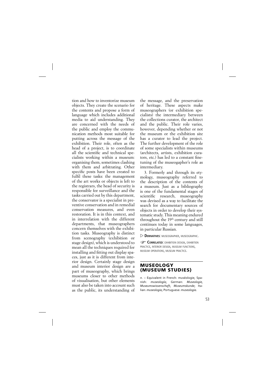tion and how to inventorize museum objects. They create the scenario for the contents and propose a form of language which includes additional media to aid understanding. They are concerned with the needs of the public and employ the communication methods most suitable for putting across the message of the exhibition. Their role, often as the head of a project, is to coordinate all the scientific and technical specialists working within a museum: organising them, sometimes clashing with them and arbitrating. Other specific posts have been created to fulfil these tasks: the management of the art works or objects is left to the registrars, the head of security is responsible for surveillance and the tasks carried out by this department, the conservator is a specialist in preventive conservation and in remedial conservation measures, and even restoration. It is in this context, and in interrelation with the different departments, that museographers concern themselves with the exhibition tasks. Museography is distinct from scenography (exhibition or stage design), which is understood to mean all the techniques required for installing and fitting out display spaces, just as it is different from interior design. Certainly stage design and museum interior design are a part of museography, which brings museums closer to other methods of visualisation, but other elements must also be taken into account such as the public, its understanding of the message, and the preservation of heritage. These aspects make museographers (or exhibition specialists) the intermediary between the collections curator, the architect and the public. Their role varies, however, depending whether or not the museum or the exhibition site has a curator to lead the project. The further development of the role of some specialists within museums (architects, artists, exhibition curators, etc.) has led to a constant finetuning of the museogapher's role as intermediary.

3. Formerly and through its etymology, museography referred to the description of the contents of a museum. Just as a bibliography is one of the fundamental stages of scientific research, museography was devised as a way to facilitate the search for documentary sources of objects in order to develop their systematic study. This meaning endured throughout the 19th century and still continues today in some languages, in particular Russian.

 $\triangleright$  **DERIVATIVES:** MUSEOGRAPHER, MUSEOGRAPHIC.

**CORRELATED:** EXHIBITION DESIGN, EXHIBITION PRACTICE, INTERIOR DESIGN, MUSEUM FUNCTIONS, MUSEUM OPERATIONS, MUSEUM PRACTICE.

### **MUSEOLOGY (MUSEUM STUDIES)**

*n.* – Equivalent in French: muséologie; Spanish: *museología*; German: *Museologie, Museumswissenschaft, Museumskunde*; Italian: *museologia*; Portuguese: *museologia*.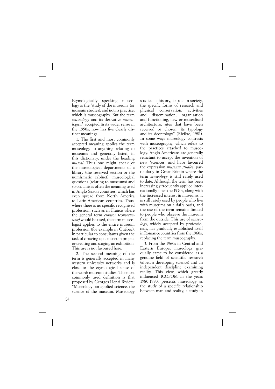Etymologically speaking museology is the 'study of the museum' (or museum studies), and not its practice, which is museography. But the term *museology* and its derivative *museological*, accepted in its wider sense in the 1950s, now has five clearly distinct meanings.

1. The first and most commonly accepted meaning applies the term museology to anything relating to museums and generally listed, in this dictionary, under the heading *museal*. Thus one might speak of the museological departments of a library (the reserved section or the numismatic cabinet), museological questions (relating to museums) and so on. This is often the meaning used in Anglo-Saxon countries, which has even spread from North America to Latin-American countries. Thus, where there is no specific recognised profession, such as in France where the general term *curator* (*conservateur)* would be used, the term museologist applies to the entire museum profession (for example in Québec), in particular to consultants given the task of drawing up a museum project or creating and staging an exhibition. This use is not favoured here.

2. The second meaning of the term is generally accepted in many western university networks and is close to the etymological sense of the word: museum studies. The most commonly used definition is that proposed by Georges Henri Rivière: "Museology: an applied science, the science of the museum. Museology

studies its history, its role in society, the specific forms of research and physical conservation, activities and dissemination, organisation and functioning, new or musealised architecture, sites that have been received or chosen, its typology and its deontology" (Rivière, 1981). In some ways museology contrasts with museography, which refers to the practices attached to museology. Anglo-Americans are generally reluctant to accept the invention of new 'sciences' and have favoured the expression *museum studies*, particularly in Great Britain where the term *museology* is still rarely used to date. Although the term has been increasingly frequently applied internationally since the 1950s, along with the increased interest in museums, it is still rarely used by people who live with museums on a daily basis, and the use of the term remains limited to people who observe the museum from the outside. This use of *museology*, widely accepted by professionals, has gradually established itself in Romance countries from the 1960s, replacing the term museography.

3. From the 1960s in Central and Eastern Europe, museology gradually came to be considered as a genuine field of scientific research (albeit a developing science) and an independent discipline examining reality. This view, which greatly influenced ICOFOM in the years 1980-1990, presents museology as the study of a specific relationship between man and reality, a study in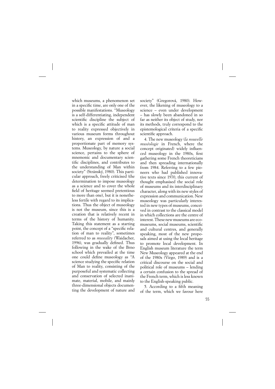which museums, a phenomenon set in a specific time, are only one of the possible manifestations. "Museology is a self-differentiating, independent scientific discipline the subject of which is a specific attitude of man to reality expressed objectively in various museum forms throughout history, an expression of and a proportionate part of memory systems. Museology, by nature a social science, pertains to the sphere of mnemonic and documentary scientific disciplines, and contributes to the understanding of Man within society" (Stránský, 1980). This particular approach, freely criticised (the determination to impose museology as a science and to cover the whole field of heritage seemed pretentious to more than one), but it is nonetheless fertile with regard to its implications. Thus the object of museology is not the museum, since this is a creation that is relatively recent in terms of the history of humanity. Taking this statement as a starting point, the concept of a "specific relation of man to reality", sometimes referred to as *museality* (Waidacher, 1996), was gradually defined. Thus following in the wake of the Brno school which prevailed at the time one could define museology as "A science studying the specific relation of Man to reality, consisting of the purposeful and systematic collecting and conservation of selected inanimate, material, mobile, and mainly three-dimensional objects documenting the development of nature and society" (Gregorová, 1980). However, the likening of museology to a science – even under development – has slowly been abandoned in so far as neither its object of study, nor its methods, truly correspond to the epistemological criteria of a specific scientific approach.

4. The new museology (*la nouvelle muséologie* in French, where the concept originated) widely influenced museology in the 1980s, first gathering some French theoreticians and then spreading internationally from 1984. Referring to a few pioneers who had published innovative texts since 1970, this current of thought emphasised the social role of museums and its interdisciplinary character, along with its new styles of expression and communication. New museology was particularly interested in new types of museums, conceived in contrast to the classical model in which collections are the centre of interest. These new museums are ecomuseums, social museums, scientific and cultural centres, and generally speaking, most of the new proposals aimed at using the local heritage to promote local development. In English museum literature the term New Museology appeared at the end of the 1980s (Virgo, 1989) and is a critical discourse on the social and political role of museums – lending a certain confusion to the spread of the French term, which is less known to the English-speaking public.

5. According to a fifth meaning of the term, which we favour here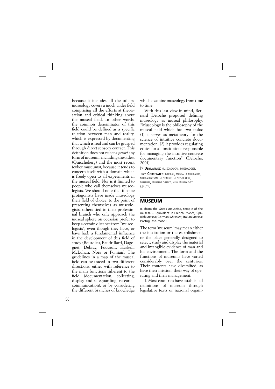because it includes all the others, museology covers a much wider field comprising all the efforts at theorisation and critical thinking about the museal field. In other words, the common denominator of this field could be defined as a specific relation between man and reality, which is expressed by documenting that which is real and can be grasped through direct sensory contact. This definition does not reject *a priori* any form of museum, including the oldest (Quiccheberg) and the most recent (cyber museums), because it tends to concern itself with a domain which is freely open to all experiments in the museal field. Nor is it limited to people who call themselves museologists. We should note that if some protagonists have made museology their field of choice, to the point of presenting themselves as museologists, others tied to their professional branch who only approach the museal sphere on occasion prefer to keep a certain distance from "museologists", even though they have, or have had, a fundamental influence in the development of this field of study (Bourdieu, Baudrillard, Dagognet, Debray, Foucault, Haskell, McLuhan, Nora or Pomian). The guidelines in a map of the museal field can be traced in two different directions: either with reference to the main functions inherent to the field (documentation, collecting, display and safeguarding, research, communication), or by considering the different branches of knowledge which examine museology from time to time.

With this last view in mind, Bernard Deloche proposed defining museology as museal philosophy. "Museology is the philosophy of the museal field which has two tasks: (1) it serves as metatheory for the science of intuitive concrete documentation, (2) it provides regulating ethics for all institutions responsible for managing the intuitive concrete documentary function" (Deloche, 2001).

 $\triangleright$  **DERIVATIVES:** MUSEOLOGICAL, MUSEOLOGIST.

**CORRELATED:** MUSEAL, MUSEALIA MUSEALITY, MUSEALISATION, MUSEALIZE, MUSEOGRAPHY, MUSEUM, MUSEUM OBJECT, NEW MUSEOLOGY, REALITY.

# **MUSEUM**

*n.* (from the Greek *mouseion*, temple of the muses). – Equivalent in French: *musée*; Spanish: *museo*; German: *Museum*; Italian: *museo;* Portuguese: *museu*.

The term 'museum' may mean either the institution or the establishment or the place generally designed to select, study and display the material and intangible evidence of man and his environment. The form and the functions of museums have varied considerably over the centuries. Their contents have diversified, as have their mission, their way of operating and their management.

1. Most countries have established definitions of museum through legislative texts or national organi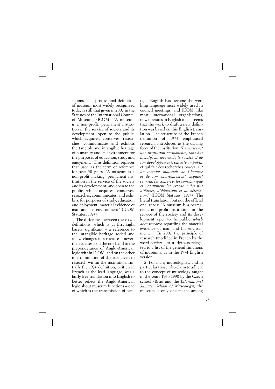sations. The professional definition of museum most widely recognized today is still that given in 2007 in the Statutes of the International Council of Museums (ICOM): "A museum is a non-profit, permanent institution in the service of society and its development, open to the public, which acquires, conserves, researches, communicates and exhibits the tangible and intangible heritage of humanity and its environment for the purposes of education, study and enjoyment." This definition replaces that used as the term of reference for over 30 years: "A museum is a non-profit making, permanent institution in the service of the society and its development, and open to the public, which acquires, conserves, researches, communicates, and exhibits, for purposes of study, education and enjoyment, material evidence of man and his environment" (ICOM Statutes, 1974).

The difference between these two definitions, which is at first sight barely significant  $-$  a reference to the intangible heritage added and a few changes in structure – nevertheless attests on the one hand to the preponderance of Anglo-American logic within ICOM, and on the other to a diminution of the role given to research within the institution. Initially the 1974 definition, written in French as the lead language, was a fairly free translation into English to better reflect the Anglo-American logic about museum functions – one of which is the transmission of heri-

tage. English has become the working language most widely used in council meetings, and ICOM, like most international organisations, now operates in English too; it seems that the work to draft a new definition was based on this English translation. The structure of the French definition of 1974 emphasised research, introduced as the driving force of the institution: *"Le musée est une institution permanente, sans but lucratif, au service de la société et de son développement, ouverte au public* et qui fait des recherches *concernant les témoins matériels de l'homme et de son environnement, acquiert ceux-là, les conserve, les communique*  et notamment les expose à des fins *d'études, d'éducation et de délectation."* (ICOM Statutes, 1974). The literal translation, but not the official one, reads: "A museum is a permanent, non-profit institution, in the service of the society and its development, open to the public, *which does research* regarding the material evidence of man and his environment…", In 2007 the principle of research (modified in French by the word *étudier* - to study) was relegated to a list of the general functions of museums, as in the 1974 English version.

2. For many museologists, and in particular those who claim to adhere to the concept of museology taught in the years 1960-1990 by the Czech school (Brno and the *International Summer School of Museology*), the museum is only one means among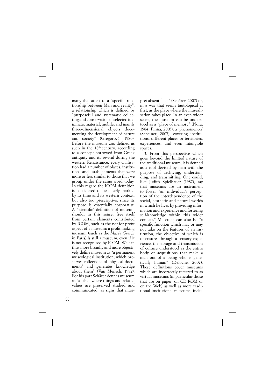many that attest to a "specific relationship between Man and reality", a relationship which is defined by "purposeful and systematic collecting and conservation of selected inanimate, material, mobile, and mainly three-dimensional objects documenting the development of nature and society" (Gregorová, 1980). Before the museum was defined as such in the 18<sup>th</sup> century, according to a concept borrowed from Greek antiquity and its revival during the western Renaissance, every civilisation had a number of places, institutions and establishments that were more or less similar to those that we group under the same word today. In this regard the ICOM definition is considered to be clearly marked by its time and its western context, but also too prescriptive, since its purpose is essentially corporatist. A 'scientific' definition of museum should, in this sense, free itself from certain elements contributed by ICOM, such as the not-for-profit aspect of a museum: a profit-making museum (such as the *Musée Grévin* in Paris) is still a museum, even if it is not recognised by ICOM. We can thus more broadly and more objectively define museum as "a permanent museological institution, which preserves collections of 'physical documents' and generates knowledge about them" (Van Mensch, 1992). For his part Schärer defines museum as "a place where things and related values are preserved studied and communicated, as signs that interpret absent facts" (Schärer, 2007) or, in a way that seems tautological at first, as the place where the musealisation takes place. In an even wider sense, the museum can be understood as a "place of memory" (Nora, 1984; Pinna, 2003), a 'phenomenon' (Scheiner, 2007), covering institutions, different places or territories, experiences, and even intangible spaces.

3. From this perspective which goes beyond the limited nature of the traditional museum, it is defined as a tool devised by man with the purpose of archiving, understanding, and transmitting. One could, like Judith Spielbauer (1987), say that museums are an instrument to foster "an individual's perception of the interdependence of the social, aesthetic and natural worlds in which he lives by providing information and experience and fostering self-knowledge within this wider context." Museums can also be "a specific function which may or may not take on the features of an institution, the objective of which is to ensure, through a sensory experience, the storage and transmission of culture understood as the entire body of acquisitions that make a man out of a being who is genetically human" (Deloche, 2007). These definitions cover museums which are incorrectly referred to as virtual museums (in particular those that are on paper, on CD-ROM or on the Web) as well as more traditional institutional museums, inclu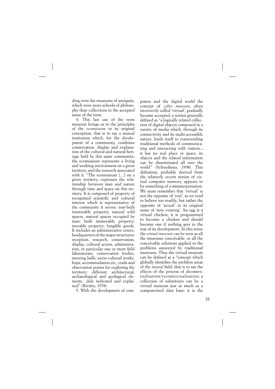ding even the museums of antiquity, which were more schools of philosophy than collections in the accepted sense of the term.

4. This last use of the term museum brings us to the principles of the *ecomuseum* in its original conception, that is to say a museal institution which, for the development of a community, combines conservation, display and explanation of the cultural and natural heritage held by this same community; the ecomuseum represents a living and working environment on a given territory, and the research associated with it. "The ecomuseum […] on a given territory, expresses the relationship between man and nature through time and space on this territory. It is composed of property of recognised scientific and cultural interest which is representative of the community it serves: non-built immovable property, natural wild spaces, natural spaces occupied by man; built immovable property; movable property; fungible goods. It includes an administrative centre, headquarters of the major structures: reception, research, conservation, display, cultural action, administration, in particular one or more field laboratories, conservation bodies, meeting halls, socio-cultural workshops, accommodation etc.; trails and observation points for exploring the territory; different architectural, archaeological and geological elements…duly indicated and explained" (Rivière, 1978).

5. With the development of com-

puters and the digital world the concept of *cyber museum*, often incorrectly called 'virtual', gradually became accepted; a notion generally defined as "a logically related collection of digital objects composed in a variety of media which, through its connectivity and its multi-accessible nature, lends itself to transcending traditional methods of communicating and interacting with visitors..; it has no real place or space; its objects and the related information can be disseminated all over the world" (Schweibenz, 1998). This definition, probably derived from the relatively recent notion of virtual computer memory, appears to be something of a misinterpretation. We must remember that 'virtual' is not the opposite of 'real', as we tend to believe too readily, but rather the opposite of 'actual' in its original sense of 'now existing'. An egg is a virtual chicken; it is programmed to become a chicken and should become one if nothing gets in the way of its development. In this sense the *virtual museum* can be seen as all the museums conceivable, or all the conceivable solutions applied to the problems answered by traditional museums. Thus the virtual museum can be defined as a "concept which globally identifies the problem areas of the *museal* field, that is to say the effects of the process of decontextualisation/recontextualisation; a collection of substitutes can be a virtual museum just as much as a computerised data base; it is the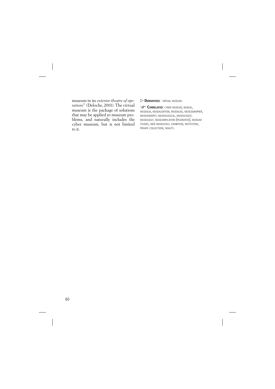museum in its *exterior theatre of operations*" (Deloche, 2001). The virtual museum is the package of solutions that may be applied to museum problems, and naturally includes the cyber museum, but is not limited to it.

 $\triangleright$  **DERIVATIVES:** VIRTUAL MUSEUM.

**CORRELATED: CYBER MUSEUM, MUSEAL,** MUSEALIA, MUSEALISATION, MUSEALISE, MUSEOGRAPHER, MUSEOGRAPHY, MUSEOLOGICAL, MUSEOLOGIST, MUSEOLOGY, MUSEUMIFICATION (PEJORATIVE), MUSEUM STUDIES, NEW MUSEOLOGY, EXHIBITION, INSTITUTION, PRIVATE COLLECTIONS, REALITY.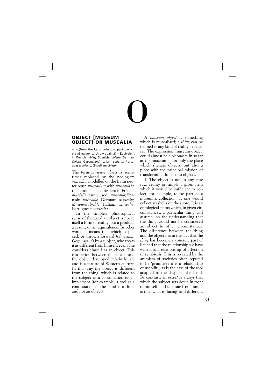# O

### **OBJECT [MUSEUM OBJECT] OR MUSEALIA**

*n.* – (from the Latin *objectum*, past participle *objectare*, to throw against) – Equivalent in French: *objet*; Spanish: *objeto*; German: *Objekt, Gegenstand*; Italian: *oggetto*; Portuguese: *objecto*, (Brazilian: *objeto*)

The term *museum object* is sometimes replaced by the neologism *musealia*, modelled on the Latin neuter noun *musealium* with *musealia* in the plural. The equivalent in French: *muséalie* (rarely used), *musealia*; Spanish: *musealia*; German: *Musealie, Museumsobjekt*; Italian: *musealia*; Portuguese: *musealia*.

In the simplest philosophical sense of the word an object is not in itself a form of reality, but a product, a result, or an equivalence. In other words it means that which is placed, or thrown forward (*ob-jectum*,  *Gegen-stand*) by a subject, who treats it as different from himself, even if he considers himself as an object. This distinction between the subject and the object developed relatively late and is a feature of Western culture. In this way the object is different from the thing, which is related to the subject as a continuation or an implement (for example, a tool as a continuation of the hand is a thing and not an object).

A *museum object* is something which is musealised; a *thing* can be defined as any kind of reality in general. The expression 'museum object' could almost be a pleonasm in so far as the museum is not only the place which shelters objects, but also a place with the principal mission of transforming things into objects.

1. The object is not in any case raw, reality or simply a given item which it would be sufficient to collect, for example, to be part of a museum's collection, as one would collect seashells on the shore. It is an ontological status which, in given circumstances, a particular thing will assume, on the understanding that the thing would not be considered an object in other circumstances. The difference between the thing and the object lies in the fact that the *thing* has become a concrete part of life and that the relationship we have with it is a relationship of affection or symbiosis. This is revealed by the animism of societies often reputed to be 'primitive': it is a relationship of usability, as is the case of the tool adapted to the shape of the hand. By contrast, an *object* is always that which the subject sets down in front of himself, and separate from him; it is thus what is 'facing' and different.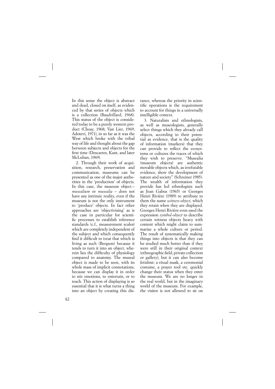In this sense the object is abstract and dead, closed on itself, as evidenced by that series of objects which is a collection (Baudrillard, 1968). This status of the object is considered today to be a purely western product (Choay, 1968; Van Lier, 1969; Adotevi, 1971), in so far as it was the West which broke with the tribal way of life and thought about the gap between subjects and objects for the first time (Descartes, Kant, and later McLuhan, 1969).

2. Through their work of acquisition, research, preservation and communication, museums can be presented as one of the major authorities in the 'production' of objects. In this case, the museum object – *musealium* or *musealia* – does not have any intrinsic reality, even if the museum is not the only instrument to 'produce' objects. In fact other approaches are 'objectivising' as is the case in particular for scientific processes to establish reference standards (c.f., measurement scales) which are completely independent of the subject and which consequently find it difficult to treat that which is living as such (Bergson) because it tends to turn it into an object, wherein lies the difficulty of physiology compared to anatomy. The museal object is made to be seen, with its whole mass of implicit connotations, because we can display it in order to stir emotions, to entertain, or to teach. This action of displaying is so essential that it is what turns a thing into an object by creating this distance, whereas the priority in scientific operations is the requirement to account for things in a universally intelligible context.

3. Naturalists and ethnologists, as well as museologists, generally select things which they already call objects, according to their potential as evidence, that is the quality of information (markers) that they can provide to reflect the ecosystems or cultures the traces of which they wish to preserve. "Musealia (museum objects) are authentic movable objects which, as irrefutable evidence, show the development of nature and society" (Schreiner 1985). The wealth of information they provide has led ethnologists such as Jean Gabus (1965) or Georges Henri Rivière (1989) to attribute to them the name *witness-object*, which they retain when they are displayed. Georges Henri Rivière even used the expression *symbol-object* to describe certain witness objects heavy with content which might claim to summarise a whole culture or period. The result of systematically making things into objects is that they can be studied much better than if they were still in their original context (ethnographic field, private collection or gallery), but it can also become fetishist: a ritual mask, a ceremonial costume, a prayer tool etc. quickly change their status when they enter the museum. We are no longer in the real world, but in the imaginary world of the museum. For example, the visitor is not allowed to sit on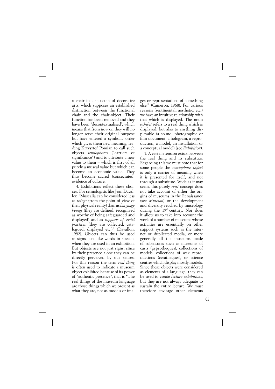a chair in a museum of decorative arts, which supposes an established distinction between the functional chair and the chair-object. Their function has been removed and they have been 'decontextualised', which means that from now on they will no longer serve their original purpose but have entered a symbolic order which gives them new meaning, leading Krzysztof Pomian to call such objects *semiophores* ("carriers of significance") and to attribute a new value to them  $-$  which is first of all purely a museal value but which can become an economic value. They thus become sacred (consecrated) evidence of culture.

4. Exhibitions reflect these choices. For semiologists like Jean Davallon "Musealia can be considered less as *things* (from the point of view of their physical reality) than as *language beings* (they are defined, recognized as worthy of being safeguarded and displayed) and as *supports of social practices* (they are collected, catalogued, displayed etc.)" (Davallon, 1992). Objects can thus be used as signs, just like words in speech, when they are used in an exhibition. But objects are not just signs, since by their presence alone they can be directly perceived by our senses. For this reason the term *real thing* is often used to indicate a museum object exhibited because of its power of "authentic presence", that is "The real things of the museum language are those things which we present as what they are, not as models or images or representations of something else." (Cameron, 1968). For various reasons (sentimental, aesthetic, etc.) we have an intuitive relationship with that which is displayed. The noun *exhibit* refers to a real thing which is displayed, but also to anything displayable (a sound, photographic or film document, a hologram, a reproduction, a model, an installation or a conceptual model) (see *Exhibition*).

5. A certain tension exists between the real thing and its substitute. Regarding this we must note that for some people the *semiophore object* is only a carrier of meaning when it is presented for itself, and not through a substitute. Wide as it may seem, this purely *reist* concept does not take account of either the origins of museums in the Renaissance (see *Museum*) or the development and diversity reached by museology during the 19th century. Nor does it allow us to take into account the work of a number of museums whose activities are essentially on other support systems such as the internet or duplicated media, or more generally all the museums made of substitutes such as museums of casts (gypsotheques), collections of models, collections of wax reproductions (ceratheques), or science centres which display mostly models. Since these objects were considered as elements of a language, they can be used to create *lecture exhibitions*, but they are not always adequate to sustain the entire lecture. We must therefore envisage other elements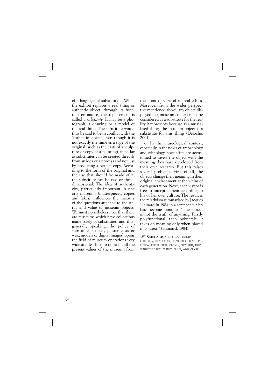of a language of substitution. When the exhibit replaces a real thing or authentic object, through its function or nature, the replacement is called a *substitute*. It may be a photograph, a drawing or a model of the real thing. The substitute would thus be said to be in conflict with the 'authentic' object, even though it is not exactly the same as a *copy* of the original (such as the casts of a sculpture or copy of a painting), in so far as substitutes can be created directly from an idea or a process and not just by producing a perfect copy. According to the form of the original and the use that should be made of it, the substitute can be two or threedimensional. The idea of authenticity, particularly important in fine arts museums (masterpieces, copies and fakes), influences the majority of the questions attached to the status and value of museum objects. We must nonetheless note that there are museums which have collections made solely of substitutes, and that, generally speaking, the policy of substitutes (copies, plaster casts or wax, models or digital images) opens the field of museum operations very wide and leads us to question all the present values of the museum from the point of view of museal ethics. Moreover, from the wider perspective mentioned above, any object displayed in a museum context must be considered as a substitute for the reality it represents because as a musealised thing, the museum object is a substitute for this thing (Deloche, 2001).

6. In the museological context, especially in the fields of archaeology and ethnology, specialists are accustomed to invest the object with the meaning they have developed from their own research. But this raises several problems. First of all, the objects change their meaning in their original environment at the whim of each generation. Next, each visitor is free to interpret them according to his or her own culture. The result is the relativism summarised by Jacques Hainard in 1984 in a sentence which has become famous: "The object is not the truth of anything. Firstly polyfunctional, then polysemic, it takes on meaning only when placed in context." (Hainard, 1984)

### **CORRELATED: ARTEFACT, AUTHENTICITY,**

COLLECTION, COPY, EXHIBIT, FETISH-OBJECT, REAL THING, REPLICA, REPRODUCTION, SPECIMEN, SUBSTITUTE, THING, TRANSITORY OBJECT, WITNESS-OBJECT, WORK OF ART.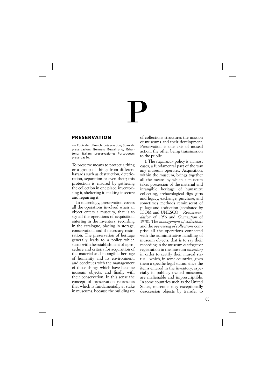# P

## **PRESERVATION**

*n* – Equivalent French: préservation; Spanish: preservación; German: Bewahrung, Erhaltung; Italian: preservazione; Portuguese: preservaçāo.

To preserve means to protect a thing or a group of things from different hazards such as destruction, deterioration, separation or even theft; this protection is ensured by gathering the collection in one place, inventorising it, sheltering it, making it secure and repairing it.

In museology, preservation covers all the operations involved when an object enters a museum, that is to say all the operations of acquisition, entering in the inventory, recording in the catalogue, placing in storage, conservation, and if necessary restoration. The preservation of heritage generally leads to a policy which starts with the establishment of a procedure and criteria for acquisition of the material and intangible heritage of humanity and its environment, and continues with the management of those things which have become museum objects, and finally with their conservation. In this sense the concept of preservation represents that which is fundamentally at stake in museums, because the building up of collections structures the mission of museums and their development. Preservation is one axis of museal action, the other being transmission to the public.

1. The *acquisition* policy is, in most cases, a fundamental part of the way any museum operates. Acquisition, within the museum, brings together all the means by which a museum takes possession of the material and intangible heritage of humanity: collecting, archaeological digs, gifts and legacy, exchange, purchase, and sometimes methods reminiscent of pillage and abduction (combated by ICOM and UNESCO – *Recommendation* of 1956 and *Convention* of 1970). The *management of collections* and the *overseeing of collections* comprise all the operations connected with the administrative handling of museum objects, that is to say their recording in the museum *catalogue* or registration in the museum *inventory* in order to certify their museal status – which, in some countries, gives them a specific legal status, since the items entered in the inventory, especially in publicly owned museums, are inalienable and imprescriptible. In some countries such as the United States, museums may exceptionally deaccession objects by transfer to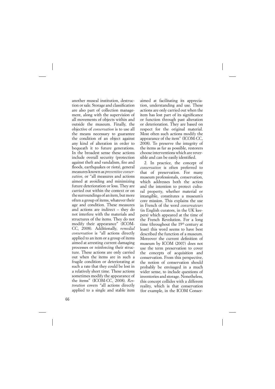another museal institution, destruction or sale. Storage and classification are also part of collection management, along with the supervision of all movements of objects within and outside the museum. Finally, the objective of *conservation* is to use all the means necessary to guarantee the condition of an object against any kind of alteration in order to bequeath it to future generations. In the broadest sense these actions include overall security (protection against theft and vandalism, fire and floods, earthquakes or riots), general measures known as *preventive conservation*, or "all measures and actions aimed at avoiding and minimizing future deterioration or loss. They are carried out within the context or on the surroundings of an item, but more often a group of items, whatever their age and condition. These measures and actions are indirect – they do not interfere with the materials and structures of the items. They do not modify their appearance" (ICOM-CC, 2008). Additionally, *remedial conservation* is "all actions directly applied to an item or a group of items aimed at arresting current damaging processes or reinforcing their structure. These actions are only carried out when the items are in such a fragile condition or deteriorating at such a rate that they could be lost in a relatively short time. These actions sometimes modify the appearance of the items" ( ICOM-CC, 2008). *Restoration* covers "all actions directly applied to a single and stable item

aimed at facilitating its appreciation, understanding and use. These actions are only carried out when the item has lost part of its significance or function through past alteration or deterioration. They are based on respect for the original material. Most often such actions modify the appearance of the item" (ICOM-CC, 2008). To preserve the integrity of the items as far as possible, restorers choose interventions which are reversible and can be easily identified.

2. In practice, the concept of *conservation* is often preferred to that of preservation. For many museum professionals, conservation, which addresses both the action and the intention to protect cultural property, whether material or intangible, constitutes a museum's core mission. This explains the use in French of the word *conservateurs* (in English curators, in the UK keepers) which appeared at the time of the French Revolution. For a long time (throughout the 19<sup>th</sup> century at least) this word seems to have best described the function of a museum. Moreover the current definition of museum by ICOM (2007) does not use the term preservation to cover the concepts of acquisition and conservation. From this perspective, the notion of conservation should probably be envisaged in a much wider sense, to include questions of inventories and storage. Nonetheless, this concept collides with a different reality, which is that conservation (for example, in the ICOM Conser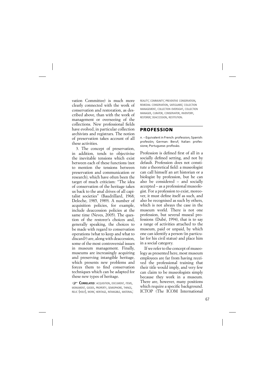vation Committee) is much more clearly connected with the work of conservation and restoration, as described above, than with the work of management or overseeing of the collections. New professional fields have evolved, in particular collection archivists and registrars. The notion of preservation takes account of all these activities.

3. The concept of preservation, in addition, tends to objectivise the inevitable tensions which exist between each of these functions (not to mention the tensions between preservation and communication or research), which have often been the target of much criticism: "The idea of conservation of the heritage takes us back to the anal drives of all capitalist societies" (Baudrillard, 1968; Deloche, 1985, 1989). A number of acquisition policies, for example, include deaccession policies at the same time (Neves, 2005). The question of the restorer's choices and, generally speaking, the choices to be made with regard to conservation operations (what to keep and what to discard?) are, along with deaccession, some of the most controversial issues in museum management. Finally, museums are increasingly acquiring and preserving intangible heritage, which presents new problems and forces them to find conservation techniques which can be adapted for these new types of heritage.

**CORRELATED:** ACQUISITION, DOCUMENT, ITEMS, MONUMENT, GOODS, PROPERTY, SEMIOPHORE, THINGS, RELIC (HOLY), WORK; HERITAGE, INTANGIBLE, MATERIAL; REALITY; COMMUNITY; PREVENTIVE CONSERVATION, REMEDIAL CONSERVATION, SAFEGUARD; COLLECTION MANAGEMENT, COLLECTION OVERSIGHT, COLLECTION MANAGER, CURATOR, CONSERVATOR, INVENTORY, RESTORER; DEACCESSION, RESTITUTION.

### **PROFESSION**

*n.* – Equivalent in French: profession; Spanish: profesión; German: Beruf; Italian: professione; Portuguese: profissão.

Profession is defined first of all in a socially defined setting, and not by default. Profession does not constitute a theoretical field: a museologist can call himself an art historian or a biologist by profession, but he can also be considered – and socially accepted – as a professional museologist. For a profession to exist, moreover, it must define itself as such, and also be recognised as such by others, which is not always the case in the museum world. There is not one profession, but several museal professions (Dubé, 1994), that is to say a range of activities attached to the museum, paid or unpaid, by which one can identify a person (in particular for his civil status) and place him in a social category.

If we refer to the concept of museology as presented here, most museum employees are far from having received the professional training that their title would imply, and very few can claim to be museologists simply because they work in a museum. There are, however, many positions which require a specific background. ICTOP (The ICOM International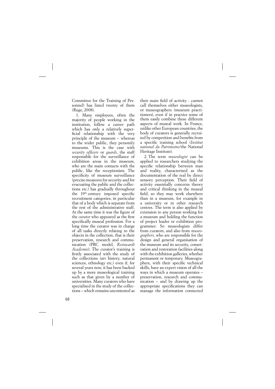Committee for the Training of Personnel) has listed twenty of them (Ruge, 2008).

1. Many employees, often the majority of people working in the institution, follow a career path which has only a relatively superficial relationship with the very principle of the museum – whereas to the wider public, they personify museums. This is the case with *security officers* or *guards*, the staff responsible for the surveillance of exhibition areas in the museum, who are the main contacts with the public, like the receptionists. The specificity of museum surveillance (precise measures for security and for evacuating the public and the collections etc.) has gradually throughout the  $19<sup>th</sup>$  century imposed specific recruitment categories, in particular that of a body which is separate from the rest of the administrative staff. At the same time it was the figure of the *curator* who appeared as the first specifically museal profession. For a long time the curator was in charge of all tasks directly relating to the objects in the collection, that is their preservation, research and communication (PRC model, *Reinwardt Academie*). The curator's training is firstly associated with the study of the collections (art history, natural sciences, ethnology etc.) even if, for several years now, it has been backed up by a more museological training such as that given by a number of universities. Many curators who have specialised in the study of the collections – which remains uncontested as

their main field of activity - cannot call themselves either museologists, or museographers (museum practitioners), even if in practice some of them easily combine these different aspects of museal work. In France, unlike other European countries, the body of curators is generally recruited by competition and benefits from a specific training school (*Institut national du Patrimoine*/the National Heritage Institute).

2. The term *museologist* can be applied to researchers studying the specific relationship between man and reality, characterised as the documentation of the real by direct sensory perception. Their field of activity essentially concerns theory and critical thinking in the museal field, so they may work elsewhere than in a museum, for example in a university or in other research centres. The term is also applied by extension to any person working for a museum and holding the function of project leader or exhibition programmer. So museologists differ from curators, and also from *museographers*, who are responsible for the design and general organisation of the museum and its security, conservation and restoration facilities along with the exhibition galleries, whether permanent or temporary. Museographers, with their specific technical skills, have an expert vision of all the ways in which a museum operates – preservation, research and communication – and by drawing up the appropriate specifications they can manage the information connected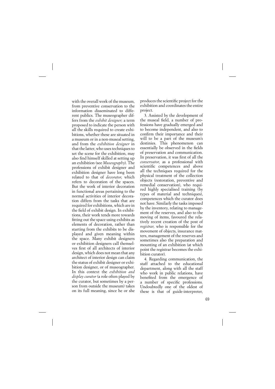with the overall work of the museum, from preventive conservation to the information disseminated to different publics. The museographer differs from the *exhibit designer;* a term proposed to indicate the person with all the skills required to create exhibitions, whether these are situated in a museum or in a non-museal setting, and from the *exhibition designer* in that the latter, who uses techniques to set the scene for the exhibition, may also find himself skilled at setting up an exhibition (see *Museography*). The professions of exhibit designer and exhibition designer have long been related to that of *decorator*, which refers to decoration of the spaces. But the work of interior decoration in functional areas pertaining to the normal activities of interior decoration differs from the tasks that are required for exhibitions, which are in the field of exhibit design. In exhibitions, their work tends more towards fitting out the space using exhibits as elements of decoration, rather than starting from the exhibits to be displayed and given meaning within the space. Many exhibit designers or exhibition designers call themselves first of all architects of interior design, which does not mean that any architect of interior design can claim the status of exhibit designer or exhibition designer, or of museographer. In this context the *exhibition and display curator* (a role often played by the curator, but sometimes by a person from outside the museum) takes on its full meaning, since he or she produces the scientific project for the exhibition and coordinates the entire project.

3. Assisted by the development of the museal field, a number of professions have gradually emerged and to become independent, and also to confirm their importance and their will to be a part of the museum's destinies. This phenomenon can essentially be observed in the fields of preservation and communication. In preservation, it was first of all the *conservator*, as a professional with scientific competences and above all the techniques required for the physical treatment of the collection objects (restoration, preventive and remedial conservation), who required highly specialised training (by types of material and techniques), competences which the curator does not have. Similarly the tasks imposed by the inventory, relating to management of the reserves, and also to the moving of items, favoured the relatively recent creation of the post of *registrar*, who is responsible for the movement of objects, insurance matters, management of the reserves and sometimes also the preparation and mounting of an exhibition (at which point the registrar becomes the exhibition curator).

4. Regarding communication, the staff attached to the educational department, along with all the staff who work in public relations, have benefited from the emergence of a number of specific professions. Undoubtedly one of the oldest of these is that of guide-interpreter,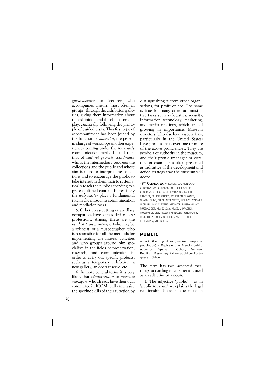*guide-lecturer* or lecturer, who accompanies visitors (most often in groups) through the exhibition galleries, giving them information about the exhibition and the objects on display, essentially following the principle of guided visits. This first type of accompaniment has been joined by the function of *animator*, the person in charge of workshops or other experiences coming under the museum's communication methods, and then that of *cultural projects coordinator* who is the intermediary between the collections and the public and whose aim is more to interpret the collections and to encourage the public to take interest in them than to systematically teach the public according to a pre-established content. Increasingly the *web master* plays a fundamental role in the museum's communication and mediation tasks.

5. Other cross-cutting or ancillary occupations have been added to these professions. Among these are the *head* or *project manager* (who may be a scientist, or a museographer) who is responsible for all the methods for implementing the museal activities and who groups around him specialists in the fields of preservation, research, and communication in order to carry out specific projects, such as a temporary exhibition, a new gallery, an open reserve, etc.

6. In more general terms it is very likely that *administrators* or *museum managers*, who already have their own committee in ICOM, will emphasise the specific skills of their function by distinguishing it from other organisations, for profit or not. The same is true for many other administrative tasks such as logistics, security, information technology, marketing, and media relations, which are all growing in importance. Museum directors (who also have associations, particularly in the United States) have profiles that cover one or more of the above proficiencies. They are symbols of authority in the museum, and their profile (manager or curator, for example) is often presented as indicative of the development and action strategy that the museum will adopt.

**CORRELATED: ANIMATOR, COMMUNICATOR,** CONSERVATION, CURATOR, CULTURAL PROJECTS COORDINATOR, EDUCATOR, EVALUATOR, EXHIBIT PRACTICE, EXHIBIT STUDIES, EXHIBITION DESIGNER, GUARD, GUIDE, GUIDE-INTERPRETER, INTERIOR DESIGNER, LECTURER, MANAGEMENT, MEDIATOR, MUSEOGRAPHY, MUSEOLOGIST, MUSEOLOGY, MUSEUM PRACTICE, MUSEUM STUDIES, PROJECT MANAGER, RESEARCHER, RESTORER, SECURITY OFFICER, STAGE DESIGNER, TECHNICIAN, VOLUNTEER.

# **PUBLIC**

*n., adj.* (Latin *publicus, populus:* people or population) – Equivalent in French: public, audience; Spanish: público; German: Publikum Besucher; Italian: pubblico; Portuguese: público.

The term has two accepted meanings, according to whether it is used as an adjective or a noun.

1. The adjective 'public' – as in 'public museum' – explains the legal relationship between the museum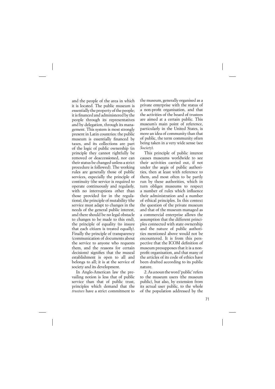and the people of the area in which it is located. The public museum is essentially the property of the people; it is financed and administered by the people through its representatives and by delegation, through its management. This system is most strongly present in Latin countries: the public museum is essentially financed by taxes, and its collections are part of the logic of public ownership (in principle they cannot rightfully be removed or deaccessioned, nor can their status be changed unless a strict procedure is followed). The working rules are generally those of public services, especially the principle of continuity (the service is required to operate continuously and regularly, with no interruptions other than those provided for in the regulations), the principle of mutability (the service must adapt to changes in the needs of the general public interest, and there should be no legal obstacle to changes to be made to this end), the principle of equality (to insure that each citizen is treated equally). Finally the principle of transparency (communication of documents about the service to anyone who requests them, and the reasons for certain decisions) signifies that the museal establishment is open to all and belongs to all; it is at the service of society and its development.

In Anglo-American law the prevailing notion is less that of public service than that of public trust, principles which demand that the *trustees* have a strict commitment to

the museum, generally organised as a private enterprise with the status of a non-profit organisation, and that the activities of the board of trustees are aimed at a certain public. This museum's main point of reference, particularly in the United States, is more an idea of community than that of public, the term community often being taken in a very wide sense (see *Society*).

This principle of public interest causes museums worldwide to see their activities carried out, if not under the aegis of public authorities, then at least with reference to them, and most often to be partly run by these authorities, which in turn obliges museums to respect a number of rules which influence their administration and a number of ethical principles. In this context the question of the private museum and that of the museum managed as a commercial enterprise allows the assumption that the different principles connected with state ownership and the nature of public authorities mentioned above would not be encountered. It is from this perspective that the ICOM definition of museum presupposes that it is a nonprofit organisation, and that many of the articles of its code of ethics have been drafted according to its public nature.

2. As a noun the word 'public' refers to the museum users (the museum public), but also, by extension from its actual user public, to the whole of the population addressed by the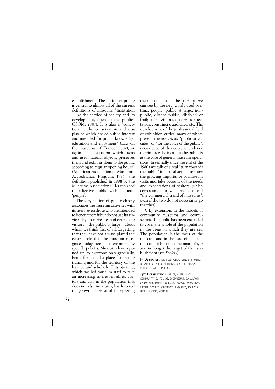establishment. The notion of public is central to almost all of the current definitions of museum: "institution … at the service of society and its development, open to the public" (ICOM, 2007). It is also a "collection … the conservation and display of which are of public interest and intended for public knowledge, education and enjoyment" (Law on the museums of France, 2002), or again "an institution which owns and uses material objects, preserves them and exhibits them to the public according to regular opening hours" (American Association of Museums, Accreditation Program, 1973); the definition published in 1998 by the Museums Association (UK) replaced the adjective 'public' with the noun 'people'.

The very notion of public closely associates the museum activities with its users, even those who are intended to benefit from it but do not use its services. By users we mean of course the visitors – the public at large – about whom we think first of all, forgetting that they have not always played the central role that the museum recognises today, because there are many specific publics. Museums have opened up to everyone only gradually, being first of all a place for artistic training and for the territory of the learned and scholarly. This opening, which has led museum staff to take an increasing interest in all its visitors and also in the population that does not visit museums, has fostered the growth of ways of interpreting the museum to all the users, as we can see by the new words used over time: people, public at large, nonpublic, distant public, disabled or frail; users, visitors, observers, spectators, consumers, audience, etc. The development of the professional field of exhibition critics, many of whom present themselves as "public advocates" or "for the voice of the public", is evidence of this current tendency to reinforce the idea that the public is at the core of general museum operations. Essentially since the end of the 1980s we talk of a real "turn towards the public" in museal action, to show the growing importance of museum visits and take account of the needs and expectations of visitors (which corresponds to what we also call "the commercial trend of museums", even if the two do not necessarily go together).

3. By extension, in the models of community museums and ecomuseums, the public has been extended to cover the whole of the population in the areas in which they are set. The population is the basis of the museum and in the case of the ecomuseum, it becomes the main player and no longer the target of the establishment (see *Society*).

 $\triangleright$  **DERIVATIVES**: DISABLED PUBLIC, MINORITY PUBLIC, NON-PUBLIC, PUBLIC AT LARGE, PUBLIC RELATIONS, PUBLICITY, TARGET PUBLIC.

**CORRELATED:** AUDIENCE, ASSESSMENTS, COMMUNITY, CUSTOMERS, ECOMUSEUM, EVALUATION, EVALUATORS, LOYALTY BUILDING, PEOPLE, POPULATION, PRIVATE, SOCIETY, SPECTATORS, ENQUIRIES, TOURISTS, USERS, VISITING, VISITORS.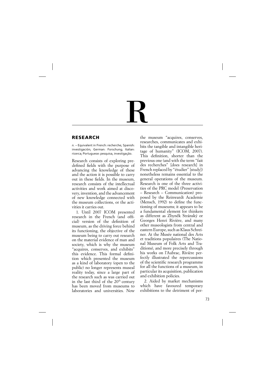# R

## **RESEARCH**

*n.* – Equivalent in French: recherche; Spanish: investigación; German: Forschung; Italian: ricerca; Portuguese: pesquisa, investigaçāo.

Research consists of exploring predefined fields with the purpose of advancing the knowledge of these and the action it is possible to carry out in these fields. In the museum, research consists of the intellectual activities and work aimed at discovery, invention, and the advancement of new knowledge connected with the museum collections, or the activities it carries out.

1. Until 2007 ICOM presented research in the French (and official) version of the definition of museum, as the driving force behind its functioning, the objective of the museum being to carry out research on the material evidence of man and society, which is why the museum "acquires, conserves, and exhibits" this evidence. This formal definition which presented the museum as a kind of laboratory (open to the public) no longer represents museal reality today, since a large part of the research such as was carried out in the last third of the 20<sup>th</sup> century has been moved from museums to laboratories and universities. Now

the museum "acquires, conserves, researches, communicates and exhibits the tangible and intangible heritage of humanity" (ICOM, 2007). This definition, shorter than the previous one (and with the term "fait des recherches" [does research] in French replaced by "étudier" [study]) nonetheless remains essential to the general operations of the museum. Research is one of the three activities of the PRC model (Preservation – Research – Communication) proposed by the Reinwardt Academie  $(Mensch, 1992)$  to define the functioning of museums; it appears to be a fundamental element for thinkers as different as Zbyněk Stránský or Georges Henri Rivière, and many other museologists from central and eastern Europe, such as Klaus Schreiner. At the Musée national des Arts et traditions populaires (The National Museum of Folk Arts and Traditions), and more precisely through his works on l'Aubrac, Rivière perfectly illustrated the repercussions of the scientific research programme for all the functions of a museum, in particular its acquisition, publication and exhibition policies.

2. Aided by market mechanisms which have favoured temporary exhibitions to the detriment of per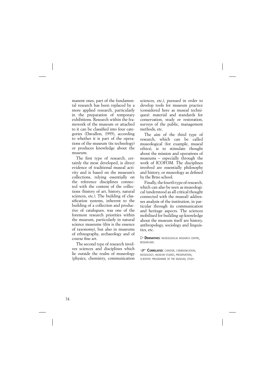manent ones, part of the fundamental research has been replaced by a more applied research, particularly in the preparation of temporary exhibitions. Research within the framework of the museum or attached to it can be classified into four categories (Davallon, 1995), according to whether it is part of the operations of the museum (its technology) or produces knowledge about the museum.

The first type of research, certainly the most developed, is direct evidence of traditional museal activity and is based on the museum's collections, relying essentially on the reference disciplines connected with the content of the collections (history of art, history, natural sciences, etc.). The building of classification systems, inherent to the building of a collection and productive of catalogues, was one of the foremost research priorities within the museum, particularly in natural science museums (this is the essence of taxonomy), but also in museums of ethnography, archaeology and of course fine art.

The second type of research involves sciences and disciplines which lie outside the realm of museology (physics, chemistry, communication

sciences, etc.), pursued in order to develop tools for museum practice (considered here as museal techniques): material and standards for conservation, study or restoration, surveys of the public, management methods, etc.

The aim of the third type of research, which can be called museological (for example, museal ethics), is to stimulate thought about the mission and operations of museums – especially through the work of ICOFOM. The disciplines involved are essentially philosophy and history, or museology as defined by the Brno school.

Finally, the fourth type of research, which can also be seen as museological (understood as all critical thought connected with the museal) addresses analysis of the institution, in particular through its communication and heritage aspects. The sciences mobilised for building up knowledge about the museum itself are history, anthropology, sociology and linguistics, etc.

 $\triangleright$  **DERIVATIVES**: MUSEOLOGICAL RESEARCH CENTRE, RESEARCHER.

**CORRELATED: CURATOR, COMMUNICATION,** MUSEOLOGY, MUSEUM STUDIES, PRESERVATION, SCIENTIFIC PROGRAMME OF THE MUSEUM, STUDY.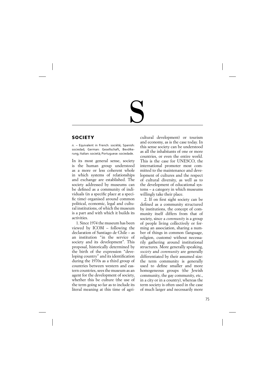# S

# **SOCIETY**

*n.* – Equivalent in French: société; Spanish: sociedad; German: Gesellschaft, Bevölkerung; Italian: società; Portuguese: sociedade.

In its most general sense, society is the human group understood as a more or less coherent whole in which systems of relationships and exchange are established. The society addressed by museums can be defined as a community of individuals (in a specific place at a specific time) organised around common political, economic, legal and cultural institutions, of which the museum is a part and with which it builds its activities.

1. Since 1974 the museum has been viewed by ICOM – following the declaration of Santiago de Chile – as an institution "in the service of society and its development". This proposal, historically determined by the birth of the expression "developing country" and its identification during the 1970s as a third group of countries between western and eastern countries, sees the museum as an agent for the development of society, whether this be culture (the use of the term going so far as to include its literal meaning at this time of agricultural development) or tourism and economy, as is the case today. In this sense society can be understood as all the inhabitants of one or more countries, or even the entire world. This is the case for UNESCO, the international promoter most committed to the maintenance and development of cultures and the respect of cultural diversity, as well as to the development of educational systems – a category in which museums willingly take their place.

2. If on first sight society can be defined as a community structured by institutions, the concept of community itself differs from that of society, since a *community* is a group of people living collectively or forming an association, sharing a number of things in common (language, religion, customs) without necessarily gathering around institutional structures. More generally speaking, *society* and *community* are generally differentiated by their assumed size: the term community is generally used to define smaller and more homogeneous groups (the Jewish community, the gay community, etc., in a city or in a country), whereas the term society is often used in the case of much larger and necessarily more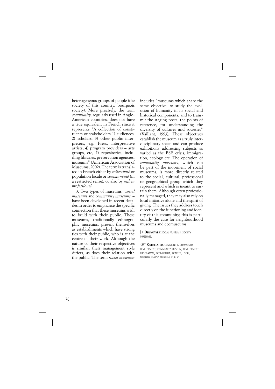heterogeneous groups of people (the society of this country, bourgeois society). More precisely, the term *community*, regularly used in Anglo-American countries, does not have a true equivalent in French since it represents "A collection of constituents or stakeholders 1) audiences, 2) scholars, 3) other public interpreters, e.g. Press, interpretative artists, 4) program providers – arts groups, etc, 5) repositories, including libraries, preservation agencies, museums" (American Association of Museums, 2002). The term is translated in French either by *collectivité* or population locale or *communauté* (in a restricted sense), or also by *milieu professionel*.

3. Two types of museums– *social museums* and *community museums* – have been developed in recent decades in order to emphasise the specific connection that these museums wish to build with their public. These museums, traditionally ethnographic museums, present themselves as establishments which have strong ties with their public, who is at the centre of their work. Although the nature of their respective objectives is similar, their management style differs, as does their relation with the public. The term *social museums* includes "museums which share the same objective: to study the evolution of humanity in its social and historical components, and to transmit the staging posts, the points of reference, for understanding the diversity of cultures and societies" (Vaillant, 1993). These objectives establish the museum as a truly interdisciplinary space and can produce exhibitions addressing subjects as varied as the BSE crisis, immigration, ecology etc. The operation of *community museums*, which can be part of the movement of social museums, is more directly related to the social, cultural, professional or geographical group which they represent and which is meant to sustain them. Although often professionally managed, they may also rely on local initiative alone and the spirit of giving. The issues they address touch directly on the functioning and identity of this community; this is particularly the case for neighbourhood museums and ecomuseums.

 $\triangleright$  **DERIVATIVES**: SOCIAL MUSEUMS, SOCIETY MUSEUMS.

**CORRELATED: COMMUNITY, COMMUNITY** DEVELOPMENT, COMMUNITY MUSEUM, DEVELOPMENT PROGRAMME, ECOMUSEUM, IDENTITY, LOCAL, NEIGHBOURHOOD MUSEUM, PUBLIC.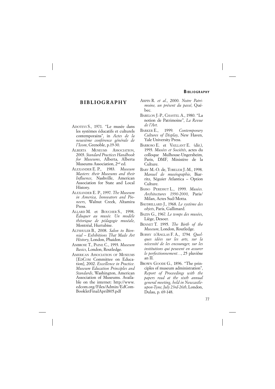## **BIBLIOGRAPHY**

- ADOTEVI S., 1971. "Le musée dans les systèmes éducatifs et culturels contemporains", in *Actes de la neuvième conférence générale de l'Icom*, Grenoble, p. 19-30.
- ALBERTA MUSEUMS ASSOCIATION, 2003. *Standard Practices Handbook for Museums*, Alberta, Alberta Museums Association, 2nd ed.
- ALEXANDER E. P., 1983. *Museum Masters: their Museums and their Influence*, Nashville, American Association for State and Local History.
- ALEXANDER E. P., 1997. *The Museum in America, Innovators and Pioneers*, Walnut Creek, Altamira Press.
- ALLARD M. et BOUCHER S., 1998. *Éduquer au musée. Un modèle théorique de pédagogie muséale*, Montréal, Hurtubise.
- ALTSHULER B., 2008. *Salon to Biennial – Exhibitions That Made Art History*, London, Phaidon.
- AMBROSE T., PAINE C., 1993. *Museum Basics*, London, Routledge.
- AMERICAN ASSOCIATION OF MUSEUMS [EDCOM Committee on Education], 2002. *Excellence in Practice. Museum Education Principles and Standards*, Washington, American Association of Museums. Available on the internet: http://www. edcom.org/Files/Admin/EdCom-BookletFinalApril805.pdf
- ARPIN R. *et al.*, 2000. *Notre Patrimoine, un présent du passé*, Québec.
- BABELON J.-P., CHASTEL A., 1980. "La notion de Patrimoine", *La Revue de l'Art*.
- BARKER E., 1999. *Contemporary Cultures of Display*, New Haven, Yale University Press.
- BARROSO E. et VAILLANT E. (dir.), 1993. *Musées et Sociétés*, actes du colloque Mulhouse-Ungersheim, Paris, DMF, Ministère de la Culture.
- BARY M.-O. de, TOBELEM J.-M., 1998. *Manuel de muséographie*, Biarritz, Séguier Atlantica – Option Culture.
- BASSO PERESSUT L., 1999. *Musées. Architectures 1990-2000*, Paris/ Milan, Actes Sud/Motta.
- BAUDRILLARD J., 1968. *Le système des objets*, Paris, Gallimard.
- BAZIN G., 1967. *Le temps des musées*, Liège, Desoer.
- BENNET T. 1995. *The Birth of the Museum*, London, Routledge.
- BOISSY D'ANGLAS F. A., 1794*. Quelques idées sur les arts, sur la nécessité de les encourager, sur les institutions qui peuvent en assurer le perfectionnement…*, 25 pluviôse an II.
- BROWN GOODE G., 1896. "The principles of museum administration", *Report of Proceedings with the papers read at the sixth annual general meeting, held in Newcastleupon-Tyne, July 23rd-26th*, London, Dulau, p. 69-148.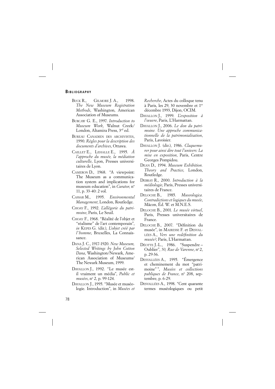- BUCK R., GILMORE J. A., 1998. *The New Museum Registration Methods*, Washington, American Association of Museums.
- BURCAW G. E., 1997. *Introduction to Museum Work*, Walnut Creek/ London, Altamira Press, 3rd ed.
- BUREAU CANADIEN DES ARCHIVISTES, 1990. *Règles pour la description des documents d'archives*, Ottawa.
- CAILLET E., LEHALLE E., 1995. *À l'approche du musée, la médiation culturelle*, Lyon, Presses universitaires de Lyon.
- CAMERON D., 1968. "A viewpoint: The Museum as a communication system and implications for museum education", in *Curator*, n° 11, p. 33-40: 2 vol.
- CASSAR M., 1995. *Environmental Management*, London, Routledge.
- CHOAY F., 1992. *L'allégorie du patrimoine*, Paris, Le Seuil.
- CHOAY F., 1968. "Réalité de l'objet et "réalisme" de l'art contemporain", *in* KEPES G. (dir.), *L'objet créé par l'homme*, Bruxelles, La Connaissance.
- DANA J. C., 1917-1920. *New Museum, Selected Writings by John Cotton Dana*, Washington/Newark, American Association of Museums/ The Newark Museum, 1999.
- DAVALLON J., 1992. "Le musée estil vraiment un média", *Public et musées*, no 2, p. 99-124.
- DAVALLON J., 1995. "Musée et muséologie. Introduction", in *Musées et*

*Recherche*, Actes du colloque tenu à Paris, les 29, 30 novembre et 1er décembre 1993, Dijon, OCIM.

- DAVALLON J., 1999. *L'exposition à l'œuvre*, Paris, L'Harmattan.
- DAVALLON J., 2006. *Le don du patrimoine. Une approche communicationnelle de la patrimonialisation*, Paris, Lavoisier.
- DAVALLON J. (dir.), 1986. *Claquemurer pour ainsi dire tout l'univers: La mise en exposition*, Paris, Centre Georges Pompidou.
- DEAN D., 1994. *Museum Exhibition. Theory and Practice*, London, Routledge.
- DEBRAY R., 2000. *Introduction à la médiologie*, Paris, Presses universitaires de France.
- DELOCHE B., 1985. *Museologica. Contradictions et logiques du musée*, Mâcon, Éd. W. et M.N.E.S.
- DELOCHE B., 2001. *Le musée virtuel*, Paris, Presses universitaires de France.
- DELOCHE B., 2007. "Définition du musée", in MAIRESSE F. et DESVAL-LÉES A., *Vers une redéfinition du musée?*, Paris, L'Harmattan.
- DÉOTTE J.-L., 1986. "Suspendre Oublier", 50, Rue de Varenne, nº 2, p. 29-36.
- DESVALLÉES A., 1995. "Émergence et cheminement du mot "patrimoine" ", *Musées et collections*  publiques de France, nº 208, septembre, p. 6-29.
- DESVALLÉES A., 1998. "Cent quarante termes muséologiques ou petit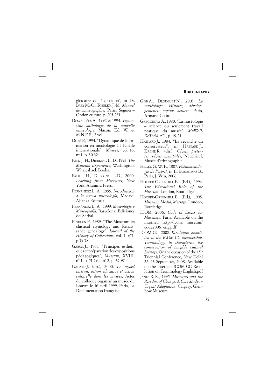glossaire de l'exposition", in DE BARY M.-O., TOBELEM J.-M., *Manuel de muséographie*, Paris, Séguier – Option culture, p. 205-251.

- DESVALLÉES A., 1992 et 1994. *Vagues. Une anthologie de la nouvelle muséologie*, Mâcon, Éd. W. et M.N.E.S., 2 vol.
- DUBÉ P., 1994. "Dynamique de la formation en muséologie à l'échelle internationale", *Musées*, vol. 16, no 1, p. 30-32.
- FALK J. H., DIERKING L. D., 1992. *The Museum Experience*, Washington, Whalesback Books.
- FALK J.H., DIERKING L.D., 2000. *Learning from Museums*, New York, Altamira Press.
- FERNÁNDEZ L. A., 1999. *Introduccio´n a la nueva museología*, Madrid, Alianza Editorial.
- FERNÁNDEZ L. A., 1999. *Museología e Museografía*, Barcelona, Ediciones del Serbal.
- FINDLEN P., 1989. "The Museum: its classical etymology and Renaissance genealogy", *Journal of the History of Collections*, vol. 1, n°1, p. 59-78.
- GABUS, J., 1965. "Principes esthétiques et préparation des expositions pédagogiques", *Museum*, XVIII, nº 1, p. 51-59 et nº 2, p. 65-97.
- GALARD J. (dir.), 2000. *Le regard instruit, action éducative et action culturelle dans les musées*, Actes du colloque organisé au musée du Louvre le 16 avril 1999, Paris, La Documentation française.
- GOB A., DROUGUET N., 2003. *La muséologie. Histoire, développements, enjeux actuels*, Paris, Armand Colin.
- GREGOROVÁ A., 1980. "La muséologie – science ou seulement tra vail pratique du musée", *MuWoP-DoTraM*, n°1, p. 19-21.
- HAINARD J., 1984. "La revanche du conservateur", in HAINARD J., KAEHR R. (dir.), *Objets prétextes, objets manipulés*, Neuchâtel, Musée d'ethnographie.
- HEGEL G. W. F., 1807. *Phénoménologie de l'esprit*, tr. fr. BOURGEOIS B., Paris, J. Vrin, 2006.
- HOOPER-GREENHILL E. (Ed.), 1994. *The Educational Role of the Museum*, London, Routledge.
- HOOPER-GREENHILL E. (Ed.), 1995. *Museum, Media, Message*. London, Routledge.
- ICOM, 2006. *Code of Ethics for Museums.* Paris. Available on the internet: http://icom. museum/ code2006\_eng.pdf
- ICOM-CC, 2008. *Resolution submitted to the ICOM-CC membership. Terminology to characterise the conservation of tangible cultural heritage*. On the occasion of the 15<sup>th</sup> Triennial Conference, New Delhi 22–26 September, 2008. Available on the internet: ICOM-CC Resolution on Terminology English.pdf
- JANES R. R., 1995. *Museums and the Paradox of Change. A Case Study in Urgent Adaptation*, Calgary, Glenbow Museum.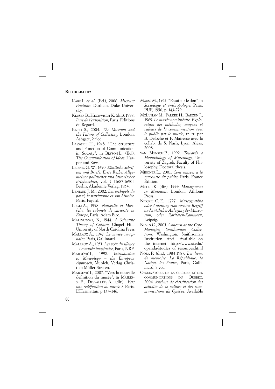### **BIBLIOGRAPHY**

- KARP I. *et al.* (Ed.), 2006. *Museum Frictions*, Durham, Duke University.
- KLÜSER B., HEGEWISCH K. (dir.), 1998. *L'art de l'exposition*, Paris, Éditions du Regard.
- KNELL S., 2004. *The Museum and the Future of Collecting*, London, Ashgate, 2nd ed.
- LASSWELL H., 1948. "The Structure and Function of Communication in Society", in BRYSON L. (Ed.), *The Communication of Ideas*, Harper and Row.
- LEIBNIZ G. W., 1690. *Sämtliche Schriften und Briefe. Erste Reihe. Allgemeiner politischer und historischer Briefwechsel*, vol. 5 [1687-1690]. Berlin, Akademie Verlag, 1954.
- LENIAUD J. M., 2002. *Les archipels du passé, le patrimoine et son histoire*, Paris, Fayard.
- LUGLI A., 1998. *Naturalia et Mirabilia, les cabinets de curiosité en Europe*, Paris, Adam Biro.
- MALINOWSKI, B., 1944. *A Scientific Theory of Culture*, Chapel Hill, University of North Carolina Press
- MALRAUX A., 1947. *Le musée imaginaire*, Paris, Gallimard.
- MALRAUX A., 1951. *Les voix du silence – Le musée imaginaire*, Paris, NRF.
- MAROÉVIĆ<sup>I</sup>., 1998. *Introduction to Museology – the European Approach*, Munich, Verlag Christian Müller-Straten.
- MAROEVIĆ I., 2007. "Vers la nouvelle définition du musée", in MAIRES-SE F., DESVALLÉES A. (dir.), *Vers une redéfinition du musée ?*, Paris, L'Harmattan, p.137–146.
- MAUSS M., 1923. "Essai sur le don", in *Sociologie et anthropologie*, Paris, PUF, 1950, p. 143-279.
- MCLUHAN M., PARKER H., BARZUN J., 1969. *Le musée non linéaire. Exploration des méthodes, moyens et valeurs de la communication avec le public par le musée*, tr. fr. par B. Deloche et F. Mairesse avec la collab. de S. Nash, Lyon, Aléas, 2008.
- VAN MENSCH P., 1992. *Towards a Methodology of Museology*, University of Zagreb, Faculty of Philosophy, Doctoral thesis.
- MIRONER L., 2001. *Cent musées à la rencontre du public*, Paris, France Édition.
- MOORE K. (dir.), 1999. *Management in Museums*, London, Athlone Press.
- NEICKEL C. F., 1727. *Museographia oder Anleitung zum rechten Begriff und nützlicher Anlegung der Museorum, oder Raritäten-Kammern*, Leipzig.
- NEVES C., 2005. *Concern at the Core. Managing Smithsonian Collections*, Washington, Smithsonian Institution, April. Available on the internet: http://www.si.edu/ opanda/studies\_of\_resources.html
- NORA P. (dir.), 1984-1987. *Les lieux de mémoire. La République, la Nation, les France*, Paris, Gallimard, 8 vol.
- OBSERVATOIRE DE LA CULTURE ET DES COMMUNICATIONS DU QUÉBEC, 2004. *Système de classifi cation des activités de la culture et des communications du Québec*. Available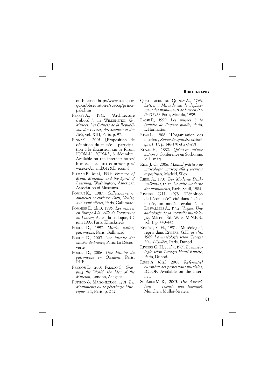on Internet: http://www.stat.gouv. qc.ca/observatoire/scaccq/principale.htm

- PERRET A., 1931. "Architecture d'abord !", in WILDENSTEIN G., *Musées*. *Les Cahiers de la République des Lettres, des Sciences et des Arts*, vol. XIII, Paris, p. 97.
- PINNA G., 2003. [Proposition de définition du musée - participation à la discussion sur le forum ICOM-L], *ICOM-L*, 3 décembre. Available on the internet: http:// home.ease.lsoft.com/scripts/  $wa.exe?$ A1=ind $0312&$ L=icom-l
- PITMAN B. (dir.), 1999. *Presence of Mind. Museums and the Spirit of Learning*, Washington, American Association of Museums.
- POMIAN K., 1987. *Collectionneurs, amateurs et curieux: Paris, Venise, XVI<sup>e</sup> -XVIIIe siècles*, Paris, Gallimard.
- POMMIER E. (dir.), 1995. *Les musées en Europe à la veille de l'ouverture du Louvre*, Actes du colloque, 3-5 juin 1993, Paris, Klincksieck.
- POULOT D., 1997. *Musée, nation, patrimoine*, Paris, Gallimard.
- POULOT D., 2005. *Une histoire des musées de France*, Paris, La Découverte.
- POULOT D., 2006. *Une histoire du patrimoine en Occident*, Paris, PUF.
- PREZIOSI D., 2003 FARAGO C., *Grasping the World, the Idea of the Museum*, London, Ashgate.
- PUTHOD de MAISONROUGE, 1791. *Les Monuments ou le pèlerinage historique*, n°1, Paris, p. 2-17.
- QUATREMÈRE DE QUINCY A., 1796. *Lettres à Miranda sur le déplacement des monuments de l'art en Italie (1796)*, Paris, Macula, 1989.
- RASSE P., 1999. *Les musées à la lumière de l'espace public*, Paris, L'Harmattan.
- RÉAU L., 1908. "L'organisation des musées", *Revue de synthèse historique*, t. 17, p. 146-170 et 273-291.
- RENAN E., 1882. *Qu'est-ce qu'une nation ?*, Conférence en Sorbonne, le 11 mars.
- RICO J. C., 2006. *Manual práctico de museología, museografía y técnicas expositivas*, Madrid, Silex.
- RIEGL A., 1903. *Der Moderne Denkmalkultus*, tr. fr. *Le culte moderne des monuments*, Paris, Seuil, 1984.
- RIVIÈRE, G.H., 1978. "Définition de l'écomusée", cité dans "L'écomusée, un modèle évolutif", in DESVALLÉES A., 1992, *Vagues. Une anthologie de la nouvelle muséologie*, Mâcon, Éd. W. et M.N.E.S., vol. 1, p. 440-445.
- RIVIÈRE, G.H., 1981. "Muséologie", repris dans RIVIÈRE, G.H. *et alii*., 1989, *La muséologie selon Georges Henri Rivière*, Paris, Dunod.
- RIVIÈRE G. H. et *alii*., 1989. *La muséologie selon Georges Henri Rivière*, Paris, Dunod.
- RUGE A. (dir.), 2008. *Référentiel européen des professions muséales*, ICTOP. Available on the internet.
- SCHÄRER M. R., 2003. *Die Ausstellung – Theorie und Exempel*, München, Müller-Straten.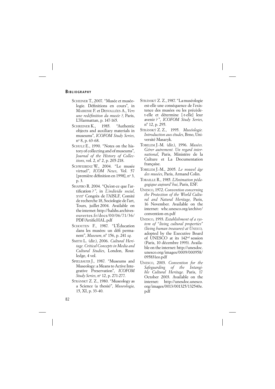### **BIBLIOGRAPHY**

- SCHEINER T., 2007. "Musée et muséologie. Définitions en cours", in MAIRESSE F. et DESVALLÉES A., *Vers une redéfinition du musée ?*, Paris, L'Harmattan, p. 147-165.
- SCHREINER K., 1985. "Authentic objects and auxiliary materials in museums", *ICOFOM Study Series*, no 8, p. 63-68.
- SCHULZ E., 1990. "Notes on the history of collecting and of museums", *Journal of the History of Collections*, vol. 2, n° 2, p. 205-218.
- SCHWEIBENZ W., 2004. "Le musée virtuel", *ICOM News*, Vol. 57 [première définition en 1998], n° 3, p. 3.
- SHAPIRO R. 2004. "Qu'est-ce que l'artifi cation ? ", in *L'individu social*, XVII<sup>e</sup> Congrès de l'AISLF, Comité de recherche 18, Sociologie de l'art, Tours, juillet 2004. Available on the internet: http://halshs. archivesouvertes.fr/docs/00/06/71/36/ PDF/ArtificHAL.pdf
- SCHOUTEN F., 1987. "L'Éducation dans les musées: un défi permanent", *Museum*, n° 156, p. 241 *sq*.
- SMITH L. (dir.), 2006. *Cultural Heritage. Critical Concepts in Media and Cultural Studies*, London, Routledge, 4 vol.
- SPIELBAUER J., 1987. "Museums and Museology: a Means to Active Integrative Preservation", *ICOFOM Study Series*, no 12, p. 271-277.
- STRÁNSKÝ Z. Z., 1980. "Museology as a Science (a thesis)", *Museologia*, 15, XI, p. 33-40.
- STRÁNSKÝ Z. Z., 1987. "La muséologie est-elle une conséquence de l'existence des musées ou les précèdet-elle et détermine [-t-elle] leur avenir ? ", *ICOFOM Study Series*, n° 12, p. 295.
- STRÁNSKÝ Z. Z., 1995. *Muséologie. Introduction aux études*, Brno, Université Masaryk.
- TOBELEM J.-M. (dir.), 1996. *Musées. Gérer autrement. Un regard international*, Paris, Ministère de la Culture et La Documentation française.
- TOBELEM J.-M., 2005. *Le nouvel âge des musées*, Paris, Armand Colin.
- TORAILLE R., 1985. *L'Animation pédagogique aujourd'hui*, Paris, ESF.
- UNESCO, 1972. *Convention concerning the Protection of the World Cultural and Natural Heritage*, Paris, 16 November. Available on the internet: whc.unesco.org/archive/ convention-en.pdf
- UNESCO, 1993. *Establishment of a system of "living cultural properties" (living human treasures) at UNESCO,* adopted by the Executive Board of UNESCO at its 142nd session (Paris, 10 décembre 1993). Available on the internet: http://unesdoc. unesco.org/images/0009/000958/ 095831eo.pdf
- UNESCO, 2003. *Convention for the Safeguarding of the Intangible Cultural Heritage*. Paris, 17 October 2003. Available on the internet: http://unesdoc.unesco. org/images/0013/001325/132540e. pdf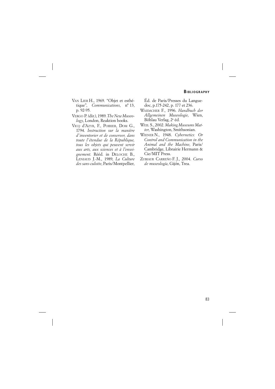- VAN LIER H., 1969. "Objet et esthétique", *Communications*, n° 13, p. 92-95.
- VERGO P. (dir.), 1989. *The New Museology*, London, Reaktion books.
- VICQ d'AZYR, F., POIRIER, DOM G., 1794. *Instruction sur la manière d'inventorier et de conserver, dans toute l'étendue de la République, tous les objets qui peuvent servir aux arts, aux sciences et à l'enseignement*. Rééd. in DELOCHE B., LENIAUD J.-M., 1989, *La Culture des sans-culotte*, Paris/Montpellier,

Éd. de Paris/Presses du Languedoc, p. 175-242, p. 177 et 236.

- WAIDACHER F., 1996. *Handbuch der Allgemeinen Museologie*, Wien, Böhlau Verlag, 2e éd.
- WEIL S., 2002. *Making Museums Matter*, Washington, Smithsonian.
- WIENER N., 1948. *Cybernetics: Or Control and Communication in the Animal and the Machine*, Paris/ Cambridge, Librairie Hermann & Cie/MIT Press.
- ZUBIAUR CARREÑO F. J., 2004. *Curso de museología*, Gijón, Trea.